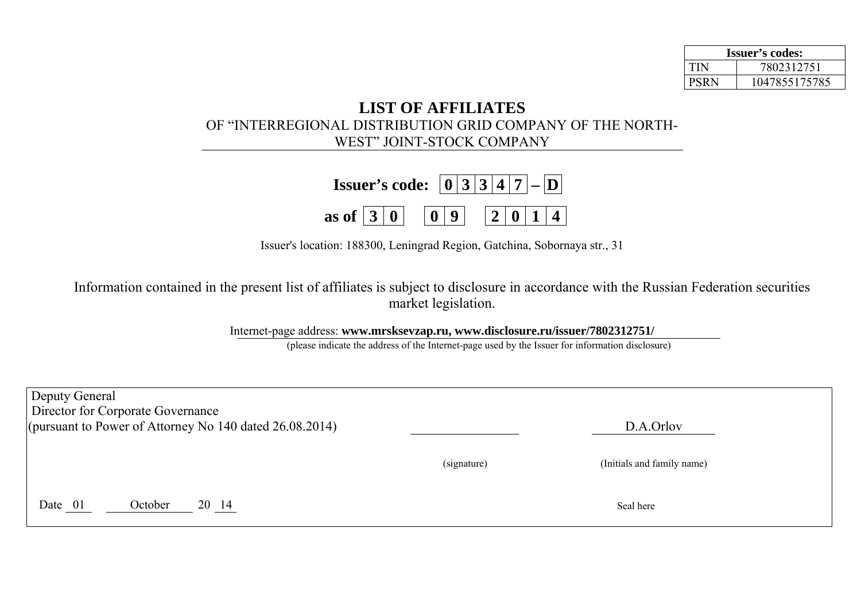| <b>Issuer's codes:</b> |               |  |  |
|------------------------|---------------|--|--|
| <b>TIN</b>             | 7802312751    |  |  |
| <b>PSRN</b>            | 1047855175785 |  |  |

## **LIST OF AFFILIATES**  OF "INTERREGIONAL DISTRIBUTION GRID COMPANY OF THE NORTH-WEST" JOINT-STOCK COMPANY

| <b>Issuer's code:</b> $\boxed{0}$ 3 3 4 7 - D                 |  |  |  |  |
|---------------------------------------------------------------|--|--|--|--|
| as of $\boxed{3}$ 0 $\boxed{0}$ 9 $\boxed{2}$ 0 $\boxed{1}$ 4 |  |  |  |  |

Issuer's location: 188300, Leningrad Region, Gatchina, Sobornaya str., 31

Information contained in the present list of affiliates is subject to disclosure in accordance with the Russian Federation securities market legislation.

Internet-page address: **www.mrsksevzap.ru, www.disclosure.ru/issuer/7802312751/** 

(please indicate the address of the Internet-page used by the Issuer for information disclosure)

| Deputy General | Director for Corporate Governance                          |             |                            |  |
|----------------|------------------------------------------------------------|-------------|----------------------------|--|
|                | (pursuant to Power of Attorney No 140 dated $26.08.2014$ ) |             | D.A.Orlov                  |  |
|                |                                                            | (signature) | (Initials and family name) |  |
| Date 01        | 20 14<br>October                                           |             | Seal here                  |  |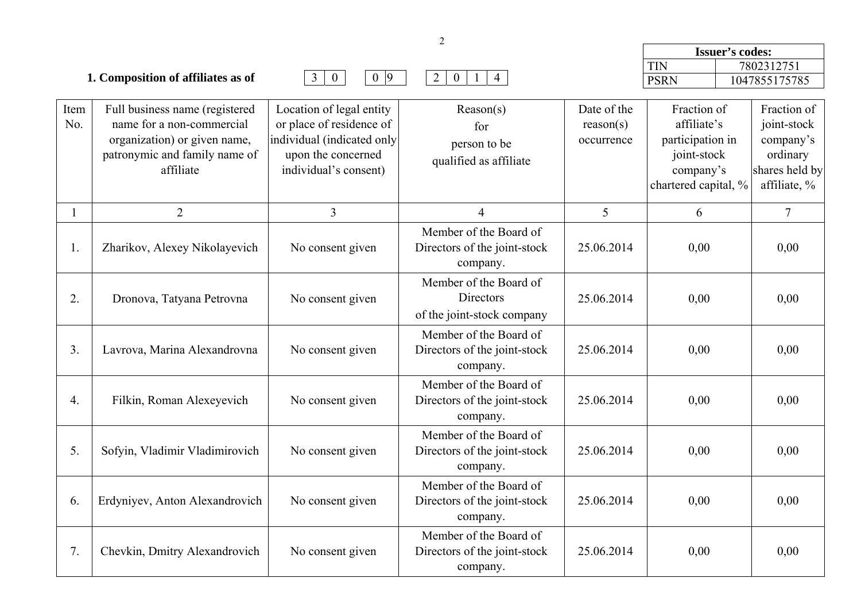|                  |                                                                                                                                           |                                                                                                                                   |                                                                    |                                        | Issuer's codes:                                                            |                                                                       |
|------------------|-------------------------------------------------------------------------------------------------------------------------------------------|-----------------------------------------------------------------------------------------------------------------------------------|--------------------------------------------------------------------|----------------------------------------|----------------------------------------------------------------------------|-----------------------------------------------------------------------|
|                  |                                                                                                                                           |                                                                                                                                   |                                                                    |                                        | <b>TIN</b>                                                                 | 7802312751                                                            |
|                  | 1. Composition of affiliates as of                                                                                                        | $\overline{0}$<br>$0\vert 9$<br>3 <sup>1</sup>                                                                                    | $\overline{4}$<br>$\overline{2}$<br>$\overline{0}$<br>$\mathbf{1}$ |                                        | <b>PSRN</b>                                                                | 1047855175785                                                         |
| Item<br>No.      | Full business name (registered<br>name for a non-commercial<br>organization) or given name,<br>patronymic and family name of<br>affiliate | Location of legal entity<br>or place of residence of<br>individual (indicated only<br>upon the concerned<br>individual's consent) | Reason(s)<br>for<br>person to be<br>qualified as affiliate         | Date of the<br>reason(s)<br>occurrence | Fraction of<br>affiliate's<br>participation in<br>joint-stock<br>company's | Fraction of<br>joint-stock<br>company's<br>ordinary<br>shares held by |
| $\mathbf{1}$     | $\overline{2}$                                                                                                                            | $\overline{3}$                                                                                                                    | $\overline{4}$                                                     | 5                                      | chartered capital, %<br>6                                                  | affiliate, %<br>$\overline{7}$                                        |
| 1.               | Zharikov, Alexey Nikolayevich                                                                                                             | No consent given                                                                                                                  | Member of the Board of<br>Directors of the joint-stock             | 25.06.2014                             | 0,00                                                                       | 0,00                                                                  |
|                  |                                                                                                                                           |                                                                                                                                   | company.                                                           |                                        |                                                                            |                                                                       |
| 2.               | Dronova, Tatyana Petrovna                                                                                                                 | No consent given                                                                                                                  | Member of the Board of<br>Directors<br>of the joint-stock company  | 25.06.2014                             | 0,00                                                                       | 0,00                                                                  |
| 3.               | Lavrova, Marina Alexandrovna                                                                                                              | No consent given                                                                                                                  | Member of the Board of<br>Directors of the joint-stock<br>company. | 25.06.2014                             | 0,00                                                                       | 0,00                                                                  |
| $\overline{4}$ . | Filkin, Roman Alexeyevich                                                                                                                 | No consent given                                                                                                                  | Member of the Board of<br>Directors of the joint-stock<br>company. | 25.06.2014                             | 0,00                                                                       | 0,00                                                                  |
| 5.               | Sofyin, Vladimir Vladimirovich                                                                                                            | No consent given                                                                                                                  | Member of the Board of<br>Directors of the joint-stock<br>company. | 25.06.2014                             | 0,00                                                                       | 0,00                                                                  |
| 6.               | Erdyniyev, Anton Alexandrovich                                                                                                            | No consent given                                                                                                                  | Member of the Board of<br>Directors of the joint-stock<br>company. | 25.06.2014                             | 0,00                                                                       | 0,00                                                                  |
| 7.               | Chevkin, Dmitry Alexandrovich                                                                                                             | No consent given                                                                                                                  | Member of the Board of<br>Directors of the joint-stock<br>company. | 25.06.2014                             | 0,00                                                                       | 0,00                                                                  |

2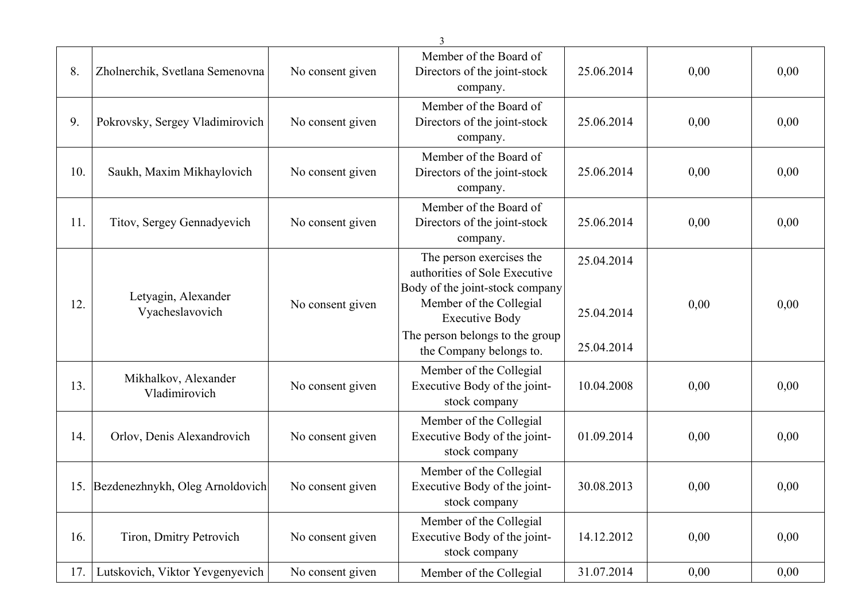|     |                                        |                  | 3                                                                                                                                                                                                              |                                        |      |      |
|-----|----------------------------------------|------------------|----------------------------------------------------------------------------------------------------------------------------------------------------------------------------------------------------------------|----------------------------------------|------|------|
| 8.  | Zholnerchik, Svetlana Semenovna        | No consent given | Member of the Board of<br>Directors of the joint-stock<br>company.                                                                                                                                             | 25.06.2014                             | 0,00 | 0,00 |
| 9.  | Pokrovsky, Sergey Vladimirovich        | No consent given | Member of the Board of<br>Directors of the joint-stock<br>company.                                                                                                                                             | 25.06.2014                             | 0,00 | 0,00 |
| 10. | Saukh, Maxim Mikhaylovich              | No consent given | Member of the Board of<br>Directors of the joint-stock<br>company.                                                                                                                                             | 25.06.2014                             | 0,00 | 0,00 |
| 11. | Titov, Sergey Gennadyevich             | No consent given | Member of the Board of<br>Directors of the joint-stock<br>company.                                                                                                                                             | 25.06.2014                             | 0,00 | 0,00 |
| 12. | Letyagin, Alexander<br>Vyacheslavovich | No consent given | The person exercises the<br>authorities of Sole Executive<br>Body of the joint-stock company<br>Member of the Collegial<br><b>Executive Body</b><br>The person belongs to the group<br>the Company belongs to. | 25.04.2014<br>25.04.2014<br>25.04.2014 | 0,00 | 0,00 |
| 13. | Mikhalkov, Alexander<br>Vladimirovich  | No consent given | Member of the Collegial<br>Executive Body of the joint-<br>stock company                                                                                                                                       | 10.04.2008                             | 0,00 | 0,00 |
| 14. | Orlov, Denis Alexandrovich             | No consent given | Member of the Collegial<br>Executive Body of the joint-<br>stock company                                                                                                                                       | 01.09.2014                             | 0,00 | 0,00 |
|     | 15. Bezdenezhnykh, Oleg Arnoldovich    | No consent given | Member of the Collegial<br>Executive Body of the joint-<br>stock company                                                                                                                                       | 30.08.2013                             | 0,00 | 0,00 |
| 16. | Tiron, Dmitry Petrovich                | No consent given | Member of the Collegial<br>Executive Body of the joint-<br>stock company                                                                                                                                       | 14.12.2012                             | 0,00 | 0,00 |
| 17. | Lutskovich, Viktor Yevgenyevich        | No consent given | Member of the Collegial                                                                                                                                                                                        | 31.07.2014                             | 0,00 | 0,00 |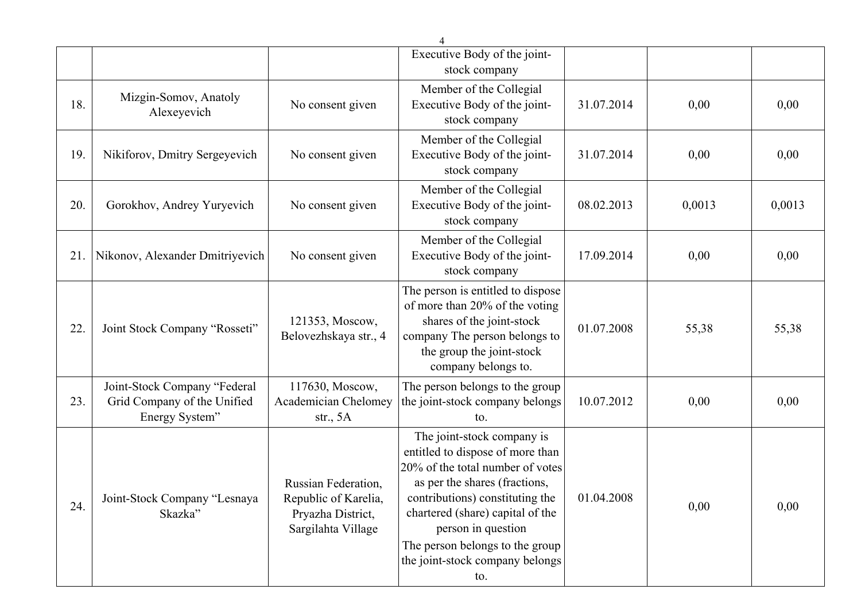|     |                                                                               |                                                                                        | $\Delta$                                                                                                                                                                                                                                                                                                      |            |        |        |
|-----|-------------------------------------------------------------------------------|----------------------------------------------------------------------------------------|---------------------------------------------------------------------------------------------------------------------------------------------------------------------------------------------------------------------------------------------------------------------------------------------------------------|------------|--------|--------|
|     |                                                                               |                                                                                        | Executive Body of the joint-                                                                                                                                                                                                                                                                                  |            |        |        |
|     |                                                                               |                                                                                        | stock company                                                                                                                                                                                                                                                                                                 |            |        |        |
| 18. | Mizgin-Somov, Anatoly<br>Alexeyevich                                          | No consent given                                                                       | Member of the Collegial<br>Executive Body of the joint-<br>stock company                                                                                                                                                                                                                                      | 31.07.2014 | 0,00   | 0,00   |
| 19. | Nikiforov, Dmitry Sergeyevich                                                 | No consent given                                                                       | Member of the Collegial<br>Executive Body of the joint-<br>stock company                                                                                                                                                                                                                                      | 31.07.2014 | 0,00   | 0,00   |
| 20. | Gorokhov, Andrey Yuryevich                                                    | No consent given                                                                       | Member of the Collegial<br>Executive Body of the joint-<br>stock company                                                                                                                                                                                                                                      | 08.02.2013 | 0,0013 | 0,0013 |
| 21. | Nikonov, Alexander Dmitriyevich                                               | No consent given                                                                       | Member of the Collegial<br>Executive Body of the joint-<br>stock company                                                                                                                                                                                                                                      | 17.09.2014 | 0,00   | 0,00   |
| 22. | Joint Stock Company "Rosseti"                                                 | 121353, Moscow,<br>Belovezhskaya str., 4                                               | The person is entitled to dispose<br>of more than 20% of the voting<br>shares of the joint-stock<br>company The person belongs to<br>the group the joint-stock<br>company belongs to.                                                                                                                         | 01.07.2008 | 55,38  | 55,38  |
| 23. | Joint-Stock Company "Federal<br>Grid Company of the Unified<br>Energy System" | 117630, Moscow,<br><b>Academician Chelomey</b><br>str., $5A$                           | The person belongs to the group<br>the joint-stock company belongs<br>to.                                                                                                                                                                                                                                     | 10.07.2012 | 0,00   | 0,00   |
| 24. | Joint-Stock Company "Lesnaya<br>Skazka"                                       | Russian Federation,<br>Republic of Karelia,<br>Pryazha District,<br>Sargilahta Village | The joint-stock company is<br>entitled to dispose of more than<br>20% of the total number of votes<br>as per the shares (fractions,<br>contributions) constituting the<br>chartered (share) capital of the<br>person in question<br>The person belongs to the group<br>the joint-stock company belongs<br>to. | 01.04.2008 | 0,00   | 0,00   |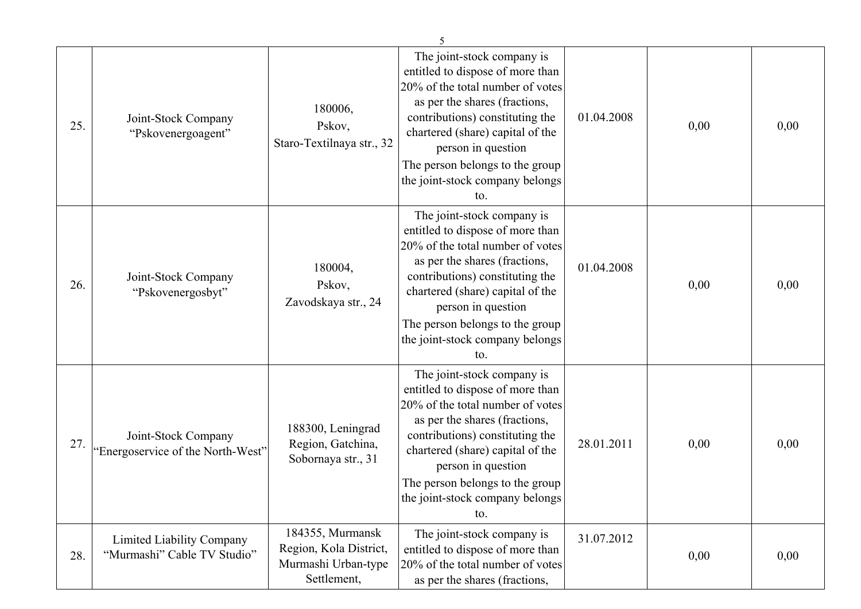| 25. | Joint-Stock Company<br>"Pskovenergoagent"                | 180006,<br>Pskov,<br>Staro-Textilnaya str., 32                                   | The joint-stock company is<br>entitled to dispose of more than<br>20% of the total number of votes<br>as per the shares (fractions,<br>contributions) constituting the<br>chartered (share) capital of the<br>person in question<br>The person belongs to the group<br>the joint-stock company belongs<br>to. | 01.04.2008 | 0,00 | 0,00 |
|-----|----------------------------------------------------------|----------------------------------------------------------------------------------|---------------------------------------------------------------------------------------------------------------------------------------------------------------------------------------------------------------------------------------------------------------------------------------------------------------|------------|------|------|
| 26. | Joint-Stock Company<br>"Pskovenergosbyt"                 | 180004,<br>Pskov,<br>Zavodskaya str., 24                                         | The joint-stock company is<br>entitled to dispose of more than<br>20% of the total number of votes<br>as per the shares (fractions,<br>contributions) constituting the<br>chartered (share) capital of the<br>person in question<br>The person belongs to the group<br>the joint-stock company belongs<br>to. | 01.04.2008 | 0,00 | 0,00 |
| 27. | Joint-Stock Company<br>"Energoservice of the North-West" | 188300, Leningrad<br>Region, Gatchina,<br>Sobornaya str., 31                     | The joint-stock company is<br>entitled to dispose of more than<br>20% of the total number of votes<br>as per the shares (fractions,<br>contributions) constituting the<br>chartered (share) capital of the<br>person in question<br>The person belongs to the group<br>the joint-stock company belongs<br>to. | 28.01.2011 | 0,00 | 0,00 |
| 28. | Limited Liability Company<br>"Murmashi" Cable TV Studio" | 184355, Murmansk<br>Region, Kola District,<br>Murmashi Urban-type<br>Settlement, | The joint-stock company is<br>entitled to dispose of more than<br>20% of the total number of votes<br>as per the shares (fractions,                                                                                                                                                                           | 31.07.2012 | 0,00 | 0,00 |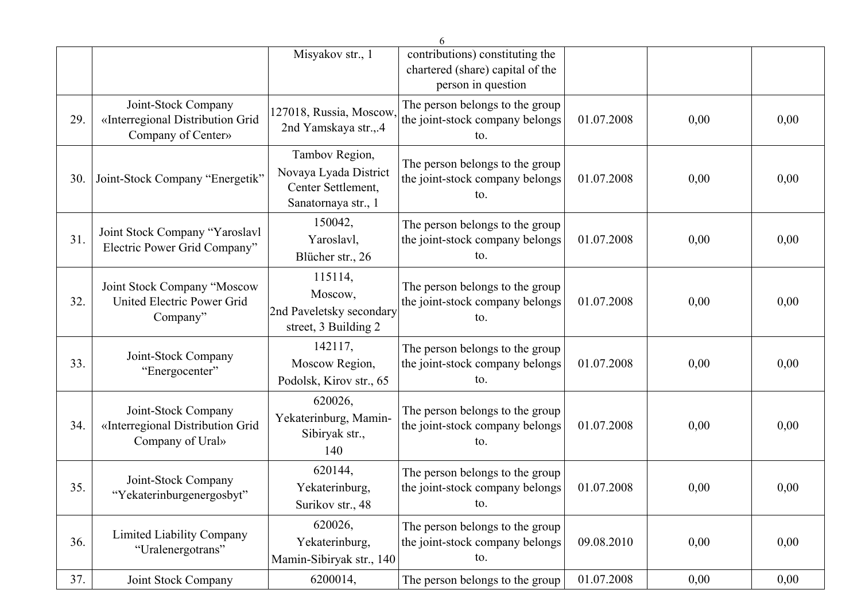|     |                                                                               |                                                                                      | 6                                                                                         |            |      |      |
|-----|-------------------------------------------------------------------------------|--------------------------------------------------------------------------------------|-------------------------------------------------------------------------------------------|------------|------|------|
|     |                                                                               | Misyakov str., 1                                                                     | contributions) constituting the<br>chartered (share) capital of the<br>person in question |            |      |      |
| 29. | Joint-Stock Company<br>«Interregional Distribution Grid<br>Company of Center» | 127018, Russia, Moscow,<br>2nd Yamskaya str.,.4                                      | The person belongs to the group<br>the joint-stock company belongs<br>to.                 | 01.07.2008 | 0,00 | 0,00 |
| 30. | Joint-Stock Company "Energetik"                                               | Tambov Region,<br>Novaya Lyada District<br>Center Settlement,<br>Sanatornaya str., 1 | The person belongs to the group<br>the joint-stock company belongs<br>to.                 | 01.07.2008 | 0,00 | 0,00 |
| 31. | Joint Stock Company "Yaroslavl<br>Electric Power Grid Company"                | 150042,<br>Yaroslavl,<br>Blücher str., 26                                            | The person belongs to the group<br>the joint-stock company belongs<br>to.                 | 01.07.2008 | 0,00 | 0,00 |
| 32. | Joint Stock Company "Moscow<br>United Electric Power Grid<br>Company"         | 115114,<br>Moscow,<br>2nd Paveletsky secondary<br>street, 3 Building 2               | The person belongs to the group<br>the joint-stock company belongs<br>to.                 | 01.07.2008 | 0,00 | 0,00 |
| 33. | Joint-Stock Company<br>"Energocenter"                                         | 142117,<br>Moscow Region,<br>Podolsk, Kirov str., 65                                 | The person belongs to the group<br>the joint-stock company belongs<br>to.                 | 01.07.2008 | 0,00 | 0,00 |
| 34. | Joint-Stock Company<br>«Interregional Distribution Grid<br>Company of Ural»   | 620026,<br>Yekaterinburg, Mamin-<br>Sibiryak str.,<br>140                            | The person belongs to the group<br>the joint-stock company belongs<br>to.                 | 01.07.2008 | 0,00 | 0,00 |
| 35. | Joint-Stock Company<br>"Yekaterinburgenergosbyt"                              | 620144,<br>Yekaterinburg,<br>Surikov str., 48                                        | The person belongs to the group<br>the joint-stock company belongs<br>to.                 | 01.07.2008 | 0,00 | 0.00 |
| 36. | <b>Limited Liability Company</b><br>"Uralenergotrans"                         | 620026,<br>Yekaterinburg,<br>Mamin-Sibiryak str., 140                                | The person belongs to the group<br>the joint-stock company belongs<br>to.                 | 09.08.2010 | 0,00 | 0,00 |
| 37. | Joint Stock Company                                                           | 6200014,                                                                             | The person belongs to the group                                                           | 01.07.2008 | 0,00 | 0,00 |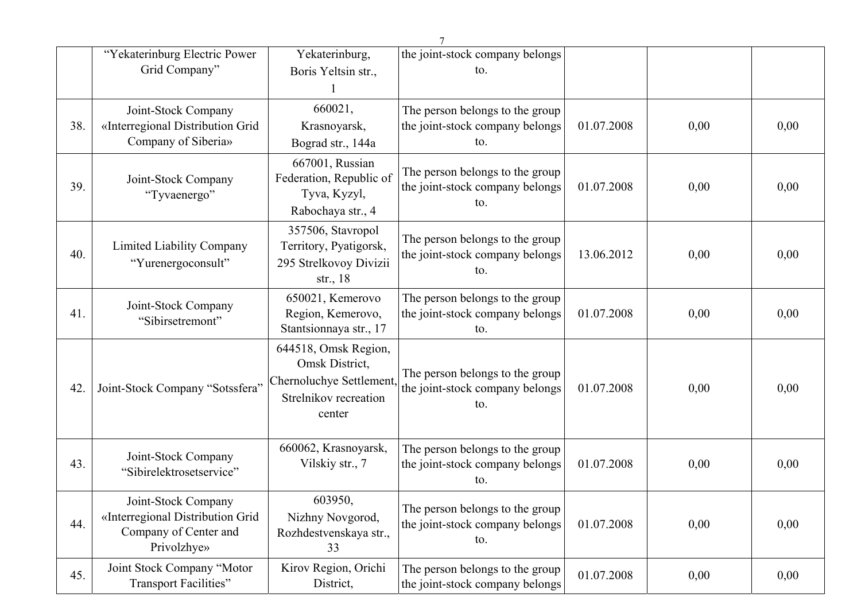|     |                                                                                                 |                                                                                                       | $\tau$                                                                    |            |      |      |
|-----|-------------------------------------------------------------------------------------------------|-------------------------------------------------------------------------------------------------------|---------------------------------------------------------------------------|------------|------|------|
|     | "Yekaterinburg Electric Power                                                                   | Yekaterinburg,                                                                                        | the joint-stock company belongs                                           |            |      |      |
|     | Grid Company"                                                                                   | Boris Yeltsin str.,                                                                                   | to.                                                                       |            |      |      |
|     |                                                                                                 |                                                                                                       |                                                                           |            |      |      |
|     | Joint-Stock Company                                                                             | 660021,                                                                                               | The person belongs to the group                                           |            |      |      |
| 38. | «Interregional Distribution Grid                                                                | Krasnoyarsk,                                                                                          | the joint-stock company belongs                                           | 01.07.2008 | 0,00 | 0,00 |
|     | Company of Siberia»                                                                             | Bograd str., 144a                                                                                     | to.                                                                       |            |      |      |
| 39. | Joint-Stock Company<br>"Tyvaenergo"                                                             | 667001, Russian<br>Federation, Republic of<br>Tyva, Kyzyl,<br>Rabochaya str., 4                       | The person belongs to the group<br>the joint-stock company belongs<br>to. | 01.07.2008 | 0,00 | 0,00 |
| 40. | <b>Limited Liability Company</b><br>"Yurenergoconsult"                                          | 357506, Stavropol<br>Territory, Pyatigorsk,<br>295 Strelkovoy Divizii<br>str., $18$                   | The person belongs to the group<br>the joint-stock company belongs<br>to. | 13.06.2012 | 0,00 | 0,00 |
| 41. | Joint-Stock Company<br>"Sibirsetremont"                                                         | 650021, Kemerovo<br>Region, Kemerovo,<br>Stantsionnaya str., 17                                       | The person belongs to the group<br>the joint-stock company belongs<br>to. | 01.07.2008 | 0,00 | 0,00 |
| 42. | Joint-Stock Company "Sotssfera"                                                                 | 644518, Omsk Region,<br>Omsk District,<br>Chernoluchye Settlement,<br>Strelnikov recreation<br>center | The person belongs to the group<br>the joint-stock company belongs<br>to. | 01.07.2008 | 0,00 | 0,00 |
| 43. | Joint-Stock Company<br>"Sibirelektrosetservice"                                                 | 660062, Krasnoyarsk,<br>Vilskiy str., 7                                                               | The person belongs to the group<br>the joint-stock company belongs<br>to. | 01.07.2008 | 0,00 | 0,00 |
| 44. | Joint-Stock Company<br>«Interregional Distribution Grid<br>Company of Center and<br>Privolzhye» | 603950,<br>Nizhny Novgorod,<br>Rozhdestvenskaya str.,<br>33                                           | The person belongs to the group<br>the joint-stock company belongs<br>to. | 01.07.2008 | 0,00 | 0,00 |
| 45. | Joint Stock Company "Motor<br><b>Transport Facilities"</b>                                      | Kirov Region, Orichi<br>District,                                                                     | The person belongs to the group<br>the joint-stock company belongs        | 01.07.2008 | 0,00 | 0,00 |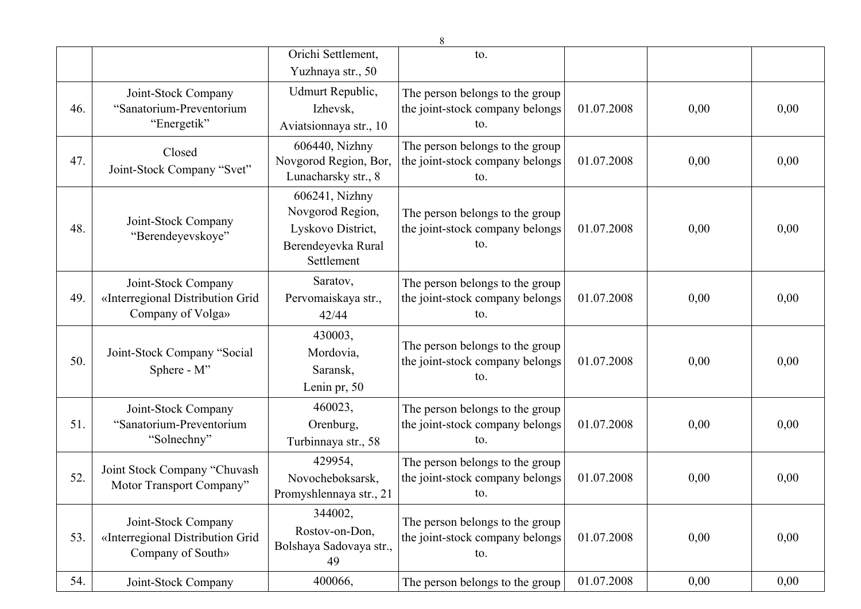|     |                                                                              |                                                                                             | 8                                                                         |            |      |      |
|-----|------------------------------------------------------------------------------|---------------------------------------------------------------------------------------------|---------------------------------------------------------------------------|------------|------|------|
|     |                                                                              | Orichi Settlement,                                                                          | to.                                                                       |            |      |      |
|     |                                                                              | Yuzhnaya str., 50                                                                           |                                                                           |            |      |      |
| 46. | Joint-Stock Company<br>"Sanatorium-Preventorium<br>"Energetik"               | Udmurt Republic,<br>Izhevsk,<br>Aviatsionnaya str., 10                                      | The person belongs to the group<br>the joint-stock company belongs<br>to. | 01.07.2008 | 0,00 | 0,00 |
| 47. | Closed<br>Joint-Stock Company "Svet"                                         | 606440, Nizhny<br>Novgorod Region, Bor,<br>Lunacharsky str., 8                              | The person belongs to the group<br>the joint-stock company belongs<br>to. | 01.07.2008 | 0,00 | 0,00 |
| 48. | Joint-Stock Company<br>"Berendeyevskoye"                                     | 606241, Nizhny<br>Novgorod Region,<br>Lyskovo District,<br>Berendeyevka Rural<br>Settlement | The person belongs to the group<br>the joint-stock company belongs<br>to. | 01.07.2008 | 0,00 | 0,00 |
| 49. | Joint-Stock Company<br>«Interregional Distribution Grid<br>Company of Volga» | Saratov,<br>Pervomaiskaya str.,<br>42/44                                                    | The person belongs to the group<br>the joint-stock company belongs<br>to. | 01.07.2008 | 0,00 | 0,00 |
| 50. | Joint-Stock Company "Social<br>Sphere - M"                                   | 430003,<br>Mordovia,<br>Saransk,<br>Lenin pr, 50                                            | The person belongs to the group<br>the joint-stock company belongs<br>to. | 01.07.2008 | 0,00 | 0,00 |
| 51. | Joint-Stock Company<br>"Sanatorium-Preventorium<br>"Solnechny"               | 460023,<br>Orenburg,<br>Turbinnaya str., 58                                                 | The person belongs to the group<br>the joint-stock company belongs<br>to. | 01.07.2008 | 0,00 | 0,00 |
| 52. | Joint Stock Company "Chuvash<br>Motor Transport Company"                     | 429954,<br>Novocheboksarsk,<br>Promyshlennaya str., 21                                      | The person belongs to the group<br>the joint-stock company belongs<br>to. | 01.07.2008 | 0,00 | 0,00 |
| 53. | Joint-Stock Company<br>«Interregional Distribution Grid<br>Company of South» | 344002,<br>Rostov-on-Don,<br>Bolshaya Sadovaya str.,<br>49                                  | The person belongs to the group<br>the joint-stock company belongs<br>to. | 01.07.2008 | 0,00 | 0,00 |
| 54. | Joint-Stock Company                                                          | 400066,                                                                                     | The person belongs to the group                                           | 01.07.2008 | 0,00 | 0,00 |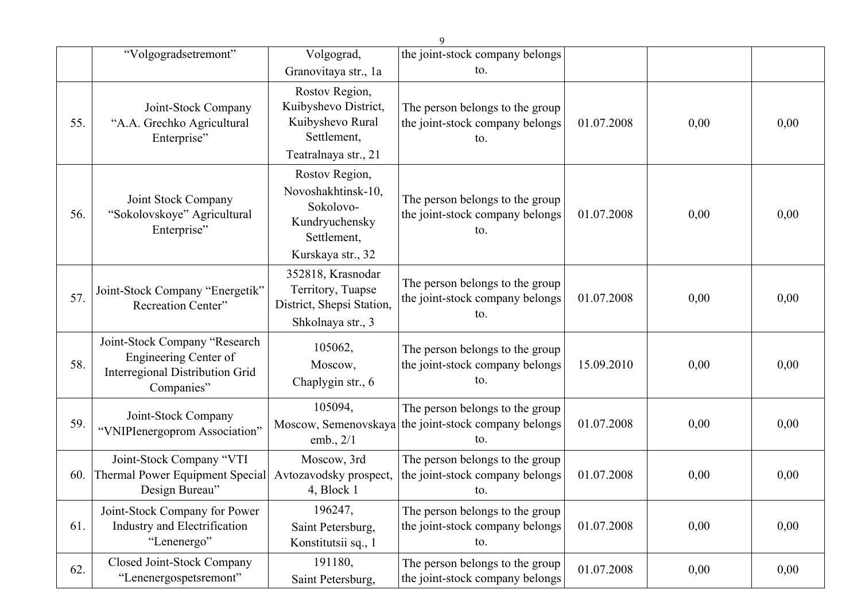|     |                                                                                                         |                                                                                                         | 9                                                                                              |            |      |      |
|-----|---------------------------------------------------------------------------------------------------------|---------------------------------------------------------------------------------------------------------|------------------------------------------------------------------------------------------------|------------|------|------|
|     | "Volgogradsetremont"                                                                                    | Volgograd,                                                                                              | the joint-stock company belongs                                                                |            |      |      |
|     |                                                                                                         | Granovitaya str., 1a                                                                                    | to.                                                                                            |            |      |      |
| 55. | Joint-Stock Company<br>"A.A. Grechko Agricultural<br>Enterprise"                                        | Rostov Region,<br>Kuibyshevo District,<br>Kuibyshevo Rural<br>Settlement,<br>Teatralnaya str., 21       | The person belongs to the group<br>the joint-stock company belongs<br>to.                      | 01.07.2008 | 0,00 | 0,00 |
| 56. | Joint Stock Company<br>"Sokolovskoye" Agricultural<br>Enterprise"                                       | Rostov Region,<br>Novoshakhtinsk-10,<br>Sokolovo-<br>Kundryuchensky<br>Settlement,<br>Kurskaya str., 32 | The person belongs to the group<br>the joint-stock company belongs<br>to.                      | 01.07.2008 | 0,00 | 0,00 |
| 57. | Joint-Stock Company "Energetik"<br><b>Recreation Center"</b>                                            | 352818, Krasnodar<br>Territory, Tuapse<br>District, Shepsi Station,<br>Shkolnaya str., 3                | The person belongs to the group<br>the joint-stock company belongs<br>to.                      | 01.07.2008 | 0,00 | 0,00 |
| 58. | Joint-Stock Company "Research<br>Engineering Center of<br>Interregional Distribution Grid<br>Companies" | 105062,<br>Moscow,<br>Chaplygin str., 6                                                                 | The person belongs to the group<br>the joint-stock company belongs<br>to.                      | 15.09.2010 | 0,00 | 0,00 |
| 59. | Joint-Stock Company<br>"VNIPIenergoprom Association"                                                    | 105094,<br>emb., $2/1$                                                                                  | The person belongs to the group<br>Moscow, Semenovskaya the joint-stock company belongs<br>to. | 01.07.2008 | 0,00 | 0,00 |
| 60. | Joint-Stock Company "VTI<br>Thermal Power Equipment Special<br>Design Bureau"                           | Moscow, 3rd<br>Avtozavodsky prospect,<br>4, Block 1                                                     | The person belongs to the group<br>the joint-stock company belongs<br>to.                      | 01.07.2008 | 0,00 | 0,00 |
| 61. | Joint-Stock Company for Power<br><b>Industry and Electrification</b><br>"Lenenergo"                     | 196247,<br>Saint Petersburg,<br>Konstitutsii sq., 1                                                     | The person belongs to the group<br>the joint-stock company belongs<br>to.                      | 01.07.2008 | 0,00 | 0,00 |
| 62. | Closed Joint-Stock Company<br>"Lenenergospetsremont"                                                    | 191180,<br>Saint Petersburg,                                                                            | The person belongs to the group<br>the joint-stock company belongs                             | 01.07.2008 | 0,00 | 0,00 |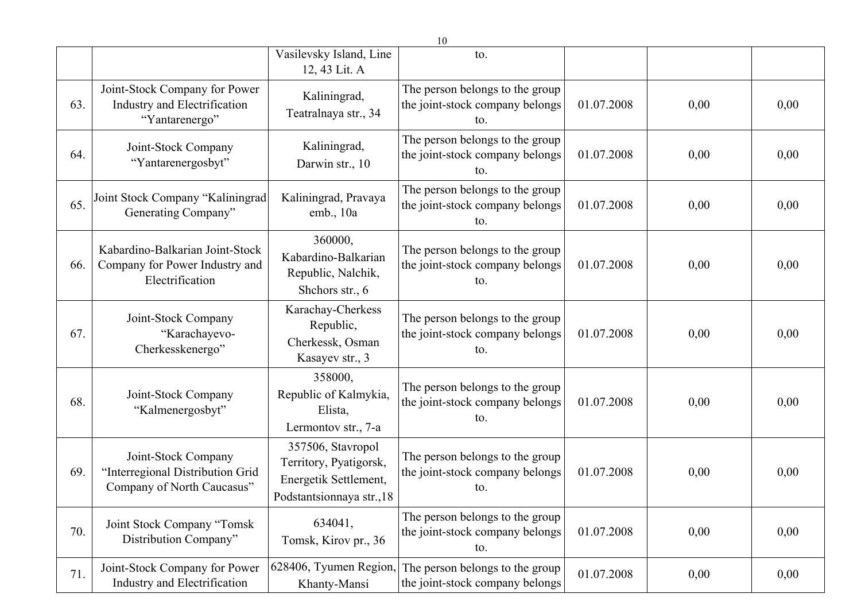|     |                                                                                       |                                                                                                   | 10                                                                        |            |      |      |
|-----|---------------------------------------------------------------------------------------|---------------------------------------------------------------------------------------------------|---------------------------------------------------------------------------|------------|------|------|
|     |                                                                                       | Vasilevsky Island, Line<br>12, 43 Lit. A                                                          | to.                                                                       |            |      |      |
| 63. | Joint-Stock Company for Power<br>Industry and Electrification<br>"Yantarenergo"       | Kaliningrad,<br>Teatralnaya str., 34                                                              | The person belongs to the group<br>the joint-stock company belongs<br>to. | 01.07.2008 | 0,00 | 0,00 |
| 64. | Joint-Stock Company<br>"Yantarenergosbyt"                                             | Kaliningrad,<br>Darwin str., 10                                                                   | The person belongs to the group<br>the joint-stock company belongs<br>to. | 01.07.2008 | 0,00 | 0,00 |
| 65. | Joint Stock Company "Kaliningrad<br>Generating Company"                               | Kaliningrad, Pravaya<br>emb., 10a                                                                 | The person belongs to the group<br>the joint-stock company belongs<br>to. | 01.07.2008 | 0,00 | 0,00 |
| 66. | Kabardino-Balkarian Joint-Stock<br>Company for Power Industry and<br>Electrification  | 360000,<br>Kabardino-Balkarian<br>Republic, Nalchik,<br>Shchors str., 6                           | The person belongs to the group<br>the joint-stock company belongs<br>to. | 01.07.2008 | 0,00 | 0,00 |
| 67. | Joint-Stock Company<br>"Karachayevo-<br>Cherkesskenergo"                              | Karachay-Cherkess<br>Republic,<br>Cherkessk, Osman<br>Kasayev str., 3                             | The person belongs to the group<br>the joint-stock company belongs<br>to. | 01.07.2008 | 0,00 | 0,00 |
| 68. | Joint-Stock Company<br>"Kalmenergosbyt"                                               | 358000,<br>Republic of Kalmykia,<br>Elista,<br>Lermontov str., 7-a                                | The person belongs to the group<br>the joint-stock company belongs<br>to. | 01.07.2008 | 0,00 | 0,00 |
| 69. | Joint-Stock Company<br>"Interregional Distribution Grid<br>Company of North Caucasus" | 357506, Stavropol<br>Territory, Pyatigorsk,<br>Energetik Settlement,<br>Podstantsionnaya str., 18 | The person belongs to the group<br>the joint-stock company belongs<br>to. | 01.07.2008 | 0,00 | 0,00 |
| 70. | Joint Stock Company "Tomsk<br>Distribution Company"                                   | 634041,<br>Tomsk, Kirov pr., 36                                                                   | The person belongs to the group<br>the joint-stock company belongs<br>to. | 01.07.2008 | 0,00 | 0,00 |
| 71. | Joint-Stock Company for Power<br>Industry and Electrification                         | 628406, Tyumen Region,<br>Khanty-Mansi                                                            | The person belongs to the group<br>the joint-stock company belongs        | 01.07.2008 | 0,00 | 0,00 |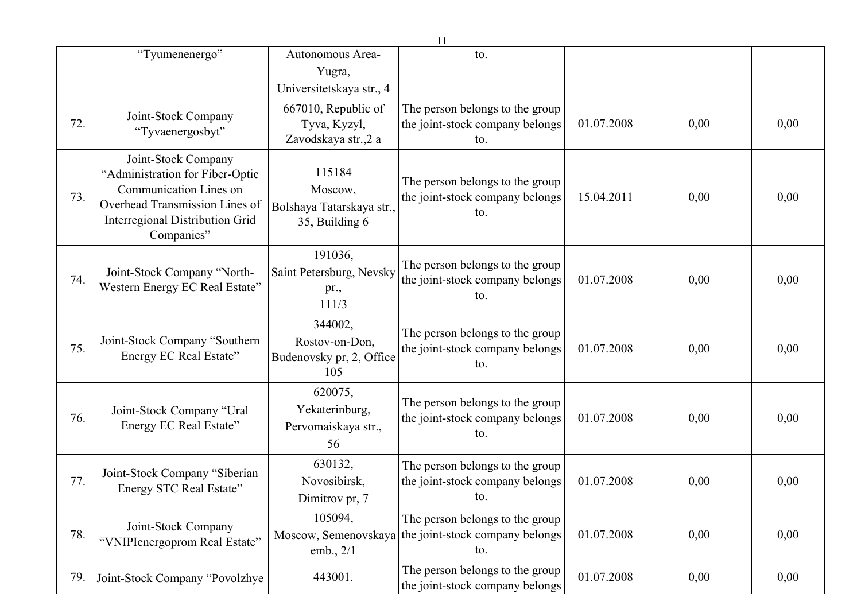|     |                                                                                                                                                                            |                                                                                        | 11                                                                                             |            |      |      |
|-----|----------------------------------------------------------------------------------------------------------------------------------------------------------------------------|----------------------------------------------------------------------------------------|------------------------------------------------------------------------------------------------|------------|------|------|
|     | "Tyumenenergo"                                                                                                                                                             | Autonomous Area-<br>Yugra,                                                             | to.                                                                                            |            |      |      |
| 72. | Joint-Stock Company<br>"Tyvaenergosbyt"                                                                                                                                    | Universitetskaya str., 4<br>667010, Republic of<br>Tyva, Kyzyl,<br>Zavodskaya str.,2 a | The person belongs to the group<br>the joint-stock company belongs<br>to.                      | 01.07.2008 | 0,00 | 0,00 |
| 73. | Joint-Stock Company<br>"Administration for Fiber-Optic<br><b>Communication Lines on</b><br>Overhead Transmission Lines of<br>Interregional Distribution Grid<br>Companies" | 115184<br>Moscow,<br>Bolshaya Tatarskaya str.,<br>35, Building 6                       | The person belongs to the group<br>the joint-stock company belongs<br>to.                      | 15.04.2011 | 0,00 | 0,00 |
| 74. | Joint-Stock Company "North-<br>Western Energy EC Real Estate"                                                                                                              | 191036,<br>Saint Petersburg, Nevsky<br>pr.,<br>111/3                                   | The person belongs to the group<br>the joint-stock company belongs<br>to.                      | 01.07.2008 | 0,00 | 0,00 |
| 75. | Joint-Stock Company "Southern<br>Energy EC Real Estate"                                                                                                                    | 344002,<br>Rostov-on-Don,<br>Budenovsky pr, 2, Office<br>105                           | The person belongs to the group<br>the joint-stock company belongs<br>to.                      | 01.07.2008 | 0,00 | 0,00 |
| 76. | Joint-Stock Company "Ural<br>Energy EC Real Estate"                                                                                                                        | 620075,<br>Yekaterinburg,<br>Pervomaiskaya str.,<br>56                                 | The person belongs to the group<br>the joint-stock company belongs<br>to.                      | 01.07.2008 | 0,00 | 0,00 |
| 77. | Joint-Stock Company "Siberian<br>Energy STC Real Estate"                                                                                                                   | 630132,<br>Novosibirsk,<br>Dimitrov pr, 7                                              | The person belongs to the group<br>the joint-stock company belongs<br>to.                      | 01.07.2008 | 0,00 | 0,00 |
| 78. | Joint-Stock Company<br>"VNIPIenergoprom Real Estate"                                                                                                                       | 105094,<br>emb., $2/1$                                                                 | The person belongs to the group<br>Moscow, Semenovskaya the joint-stock company belongs<br>to. | 01.07.2008 | 0,00 | 0,00 |
| 79. | Joint-Stock Company "Povolzhye                                                                                                                                             | 443001.                                                                                | The person belongs to the group<br>the joint-stock company belongs                             | 01.07.2008 | 0,00 | 0,00 |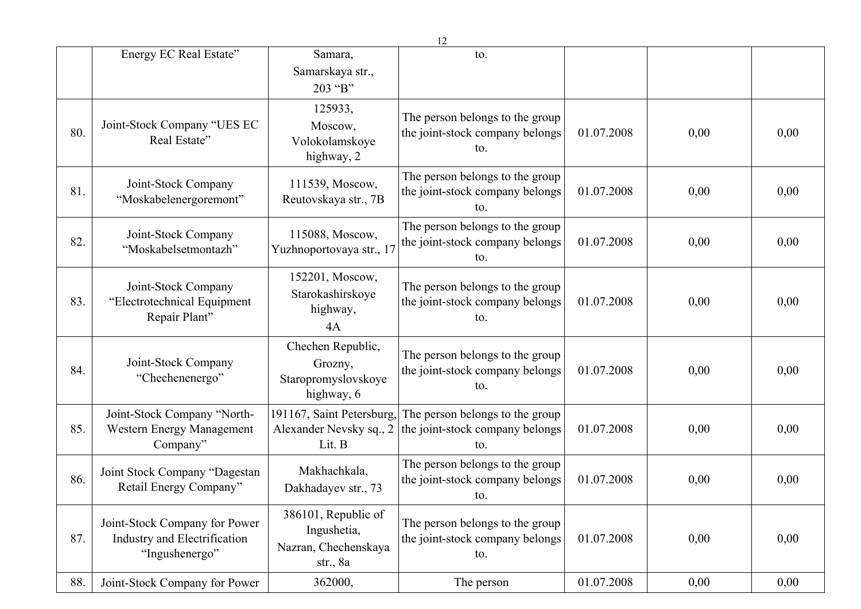|     |                                                                                 |                                                                          | 12                                                                        |            |      |      |
|-----|---------------------------------------------------------------------------------|--------------------------------------------------------------------------|---------------------------------------------------------------------------|------------|------|------|
|     | Energy EC Real Estate"                                                          | Samara,<br>Samarskaya str.,<br>203 "B"                                   | to.                                                                       |            |      |      |
| 80. | Joint-Stock Company "UES EC<br>Real Estate"                                     | 125933,<br>Moscow,<br>Volokolamskoye<br>highway, 2                       | The person belongs to the group<br>the joint-stock company belongs<br>to. | 01.07.2008 | 0,00 | 0,00 |
| 81. | Joint-Stock Company<br>"Moskabelenergoremont"                                   | 111539, Moscow,<br>Reutovskaya str., 7B                                  | The person belongs to the group<br>the joint-stock company belongs<br>to. | 01.07.2008 | 0,00 | 0,00 |
| 82. | Joint-Stock Company<br>"Moskabelsetmontazh"                                     | 115088, Moscow,<br>Yuzhnoportovaya str., 17                              | The person belongs to the group<br>the joint-stock company belongs<br>to. | 01.07.2008 | 0,00 | 0,00 |
| 83. | Joint-Stock Company<br>"Electrotechnical Equipment<br>Repair Plant"             | 152201, Moscow,<br>Starokashirskoye<br>highway,<br>4A                    | The person belongs to the group<br>the joint-stock company belongs<br>to. | 01.07.2008 | 0,00 | 0,00 |
| 84. | Joint-Stock Company<br>"Chechenenergo"                                          | Chechen Republic,<br>Grozny,<br>Staropromyslovskoye<br>highway, 6        | The person belongs to the group<br>the joint-stock company belongs<br>to. | 01.07.2008 | 0,00 | 0,00 |
| 85. | Joint-Stock Company "North-<br>Western Energy Management<br>Company"            | 191167, Saint Petersburg,<br>Alexander Nevsky sq., 2<br>Lit. B           | The person belongs to the group<br>the joint-stock company belongs<br>to. | 01.07.2008 | 0,00 | 0,00 |
| 86. | Joint Stock Company "Dagestan<br>Retail Energy Company"                         | Makhachkala,<br>Dakhadayev str., 73                                      | The person belongs to the group<br>the joint-stock company belongs<br>to. | 01.07.2008 | 0,00 | 0,00 |
| 87. | Joint-Stock Company for Power<br>Industry and Electrification<br>"Ingushenergo" | 386101, Republic of<br>Ingushetia,<br>Nazran, Chechenskaya<br>str., $8a$ | The person belongs to the group<br>the joint-stock company belongs<br>to. | 01.07.2008 | 0,00 | 0,00 |
| 88. | Joint-Stock Company for Power                                                   | 362000,                                                                  | The person                                                                | 01.07.2008 | 0,00 | 0,00 |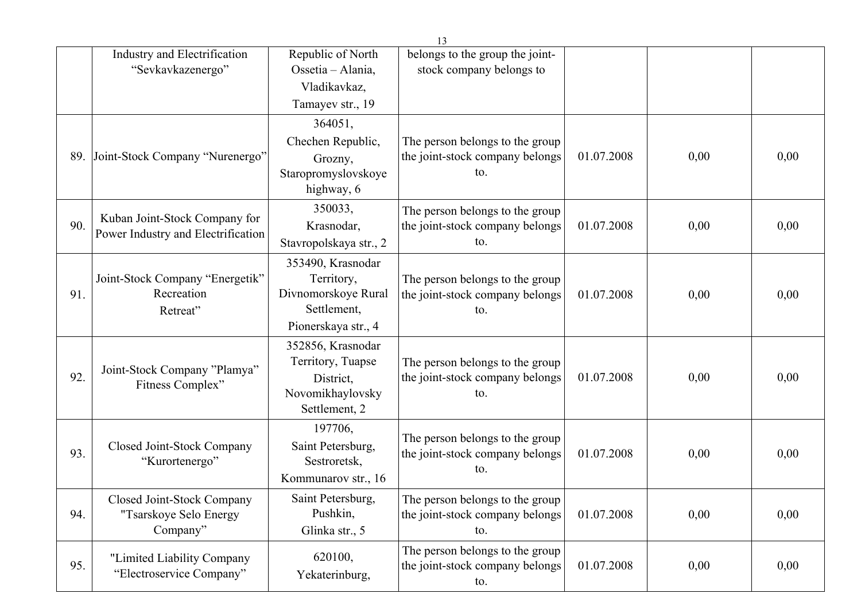|     |                                    |                        | 13                              |            |      |      |
|-----|------------------------------------|------------------------|---------------------------------|------------|------|------|
|     | Industry and Electrification       | Republic of North      | belongs to the group the joint- |            |      |      |
|     | "Sevkavkazenergo"                  | Ossetia - Alania,      | stock company belongs to        |            |      |      |
|     |                                    | Vladikavkaz,           |                                 |            |      |      |
|     |                                    | Tamayev str., 19       |                                 |            |      |      |
|     |                                    | 364051,                |                                 |            |      |      |
|     |                                    | Chechen Republic,      | The person belongs to the group |            |      |      |
| 89. | Joint-Stock Company "Nurenergo"    | Grozny,                | the joint-stock company belongs | 01.07.2008 | 0,00 | 0,00 |
|     |                                    | Staropromyslovskoye    | to.                             |            |      |      |
|     |                                    | highway, 6             |                                 |            |      |      |
|     |                                    | 350033,                | The person belongs to the group |            |      |      |
| 90. | Kuban Joint-Stock Company for      | Krasnodar,             | the joint-stock company belongs | 01.07.2008 | 0,00 | 0,00 |
|     | Power Industry and Electrification | Stavropolskaya str., 2 | to.                             |            |      |      |
|     |                                    | 353490, Krasnodar      |                                 |            |      |      |
|     | Joint-Stock Company "Energetik"    | Territory,             | The person belongs to the group |            |      |      |
| 91. | Recreation                         | Divnomorskoye Rural    | the joint-stock company belongs | 01.07.2008 | 0,00 | 0,00 |
|     | Retreat"                           | Settlement,            | to.                             |            |      |      |
|     |                                    | Pionerskaya str., 4    |                                 |            |      |      |
|     |                                    | 352856, Krasnodar      |                                 |            |      |      |
|     | Joint-Stock Company "Plamya"       | Territory, Tuapse      | The person belongs to the group |            |      |      |
| 92. | Fitness Complex"                   | District,              | the joint-stock company belongs | 01.07.2008 | 0,00 | 0,00 |
|     |                                    | Novomikhaylovsky       | to.                             |            |      |      |
|     |                                    | Settlement, 2          |                                 |            |      |      |
|     |                                    | 197706,                | The person belongs to the group |            |      |      |
| 93. | Closed Joint-Stock Company         | Saint Petersburg,      | the joint-stock company belongs | 01.07.2008 | 0,00 | 0,00 |
|     | "Kurortenergo"                     | Sestroretsk,           | to.                             |            |      |      |
|     |                                    | Kommunarov str., 16    |                                 |            |      |      |
|     | Closed Joint-Stock Company         | Saint Petersburg,      | The person belongs to the group |            |      |      |
| 94. | "Tsarskoye Selo Energy             | Pushkin,               | the joint-stock company belongs | 01.07.2008 | 0,00 | 0,00 |
|     | Company"                           | Glinka str., 5         | to.                             |            |      |      |
|     | "Limited Liability Company         | 620100,                | The person belongs to the group |            |      |      |
| 95. | "Electroservice Company"           | Yekaterinburg,         | the joint-stock company belongs | 01.07.2008 | 0,00 | 0,00 |
|     |                                    |                        | to.                             |            |      |      |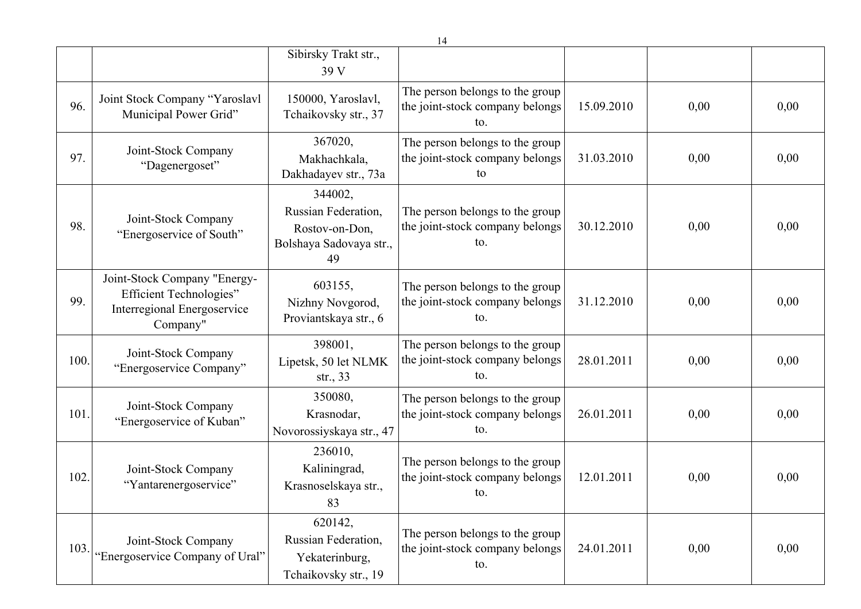|      |                                                                                                                  |                                                                                   | 14                                                                        |            |      |      |
|------|------------------------------------------------------------------------------------------------------------------|-----------------------------------------------------------------------------------|---------------------------------------------------------------------------|------------|------|------|
|      |                                                                                                                  | Sibirsky Trakt str.,<br>39 V                                                      |                                                                           |            |      |      |
| 96.  | Joint Stock Company "Yaroslavl<br>Municipal Power Grid"                                                          | 150000, Yaroslavl,<br>Tchaikovsky str., 37                                        | The person belongs to the group<br>the joint-stock company belongs<br>to. | 15.09.2010 | 0,00 | 0,00 |
| 97.  | Joint-Stock Company<br>"Dagenergoset"                                                                            | 367020,<br>Makhachkala,<br>Dakhadayev str., 73a                                   | The person belongs to the group<br>the joint-stock company belongs<br>to  | 31.03.2010 | 0,00 | 0,00 |
| 98.  | Joint-Stock Company<br>"Energoservice of South"                                                                  | 344002,<br>Russian Federation,<br>Rostov-on-Don,<br>Bolshaya Sadovaya str.,<br>49 | The person belongs to the group<br>the joint-stock company belongs<br>to. | 30.12.2010 | 0,00 | 0,00 |
| 99.  | Joint-Stock Company "Energy-<br><b>Efficient Technologies"</b><br><b>Interregional Energoservice</b><br>Company" | 603155,<br>Nizhny Novgorod,<br>Proviantskaya str., 6                              | The person belongs to the group<br>the joint-stock company belongs<br>to. | 31.12.2010 | 0,00 | 0,00 |
| 100. | Joint-Stock Company<br>"Energoservice Company"                                                                   | 398001,<br>Lipetsk, 50 let NLMK<br>str., $33$                                     | The person belongs to the group<br>the joint-stock company belongs<br>to. | 28.01.2011 | 0,00 | 0,00 |
| 101. | Joint-Stock Company<br>"Energoservice of Kuban"                                                                  | 350080,<br>Krasnodar,<br>Novorossiyskaya str., 47                                 | The person belongs to the group<br>the joint-stock company belongs<br>to. | 26.01.2011 | 0,00 | 0,00 |
| 102. | Joint-Stock Company<br>"Yantarenergoservice"                                                                     | 236010,<br>Kaliningrad,<br>Krasnoselskaya str.,<br>83                             | The person belongs to the group<br>the joint-stock company belongs<br>to. | 12.01.2011 | 0,00 | 0,00 |
| 103. | Joint-Stock Company<br>"Energoservice Company of Ural"                                                           | 620142,<br>Russian Federation,<br>Yekaterinburg,<br>Tchaikovsky str., 19          | The person belongs to the group<br>the joint-stock company belongs<br>to. | 24.01.2011 | 0,00 | 0,00 |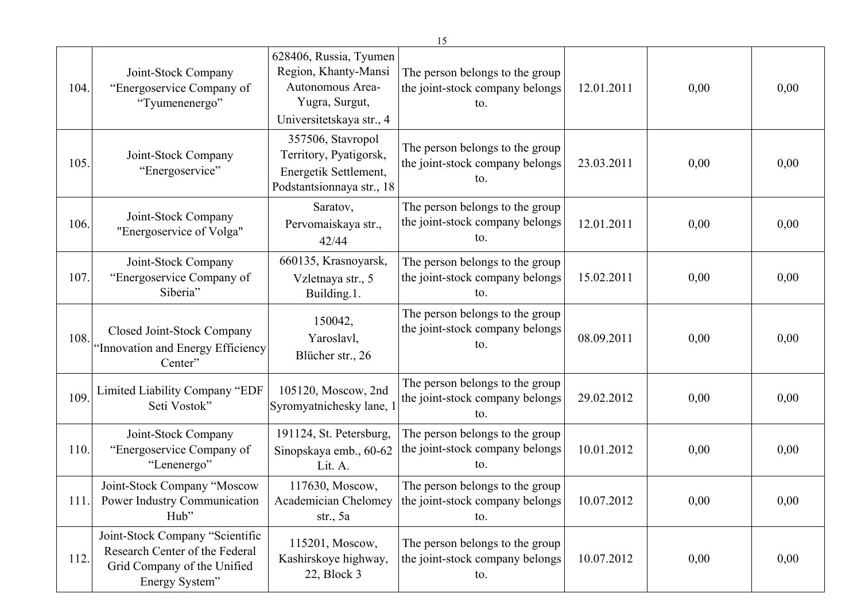|      |                                                                                                                    |                                                                                                                  | 15                                                                        |            |      |      |
|------|--------------------------------------------------------------------------------------------------------------------|------------------------------------------------------------------------------------------------------------------|---------------------------------------------------------------------------|------------|------|------|
| 104. | Joint-Stock Company<br>"Energoservice Company of<br>"Tyumenenergo"                                                 | 628406, Russia, Tyumen<br>Region, Khanty-Mansi<br>Autonomous Area-<br>Yugra, Surgut,<br>Universitetskaya str., 4 | The person belongs to the group<br>the joint-stock company belongs<br>to. | 12.01.2011 | 0,00 | 0,00 |
| 105  | Joint-Stock Company<br>"Energoservice"                                                                             | 357506, Stavropol<br>Territory, Pyatigorsk,<br>Energetik Settlement,<br>Podstantsionnaya str., 18                | The person belongs to the group<br>the joint-stock company belongs<br>to. | 23.03.2011 | 0,00 | 0,00 |
| 106. | Joint-Stock Company<br>"Energoservice of Volga"                                                                    | Saratov,<br>Pervomaiskaya str.,<br>42/44                                                                         | The person belongs to the group<br>the joint-stock company belongs<br>to. | 12.01.2011 | 0,00 | 0,00 |
| 107  | Joint-Stock Company<br>"Energoservice Company of<br>Siberia"                                                       | 660135, Krasnoyarsk,<br>Vzletnaya str., 5<br>Building.1.                                                         | The person belongs to the group<br>the joint-stock company belongs<br>to. | 15.02.2011 | 0,00 | 0,00 |
| 108. | Closed Joint-Stock Company<br>"Innovation and Energy Efficiency<br>Center"                                         | 150042,<br>Yaroslavl,<br>Blücher str., 26                                                                        | The person belongs to the group<br>the joint-stock company belongs<br>to. | 08.09.2011 | 0,00 | 0,00 |
| 109  | Limited Liability Company "EDF<br>Seti Vostok"                                                                     | 105120, Moscow, 2nd<br>Syromyatnichesky lane, 1                                                                  | The person belongs to the group<br>the joint-stock company belongs<br>to. | 29.02.2012 | 0,00 | 0,00 |
| 110. | Joint-Stock Company<br>"Energoservice Company of<br>"Lenenergo"                                                    | 191124, St. Petersburg,<br>Sinopskaya emb., 60-62<br>Lit. A.                                                     | The person belongs to the group<br>the joint-stock company belongs<br>to. | 10.01.2012 | 0,00 | 0,00 |
| 111. | Joint-Stock Company "Moscow<br>Power Industry Communication<br>Hub"                                                | 117630, Moscow,<br>Academician Chelomey<br>str., $5a$                                                            | The person belongs to the group<br>the joint-stock company belongs<br>to. | 10.07.2012 | 0,00 | 0,00 |
| 112. | Joint-Stock Company "Scientific<br>Research Center of the Federal<br>Grid Company of the Unified<br>Energy System" | 115201, Moscow,<br>Kashirskoye highway,<br>$22$ , Block 3                                                        | The person belongs to the group<br>the joint-stock company belongs<br>to. | 10.07.2012 | 0,00 | 0,00 |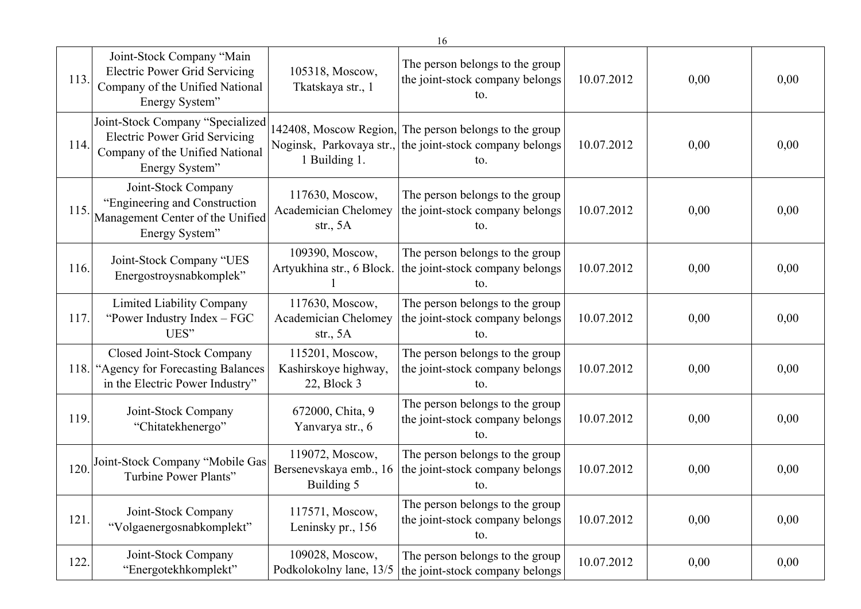|      | 16                                                                                                                            |                                                              |                                                                                                                           |            |      |      |  |  |
|------|-------------------------------------------------------------------------------------------------------------------------------|--------------------------------------------------------------|---------------------------------------------------------------------------------------------------------------------------|------------|------|------|--|--|
| 113. | Joint-Stock Company "Main<br><b>Electric Power Grid Servicing</b><br>Company of the Unified National<br>Energy System"        | 105318, Moscow,<br>Tkatskaya str., 1                         | The person belongs to the group<br>the joint-stock company belongs<br>to.                                                 | 10.07.2012 | 0,00 | 0,00 |  |  |
| 114. | Joint-Stock Company "Specialized<br><b>Electric Power Grid Servicing</b><br>Company of the Unified National<br>Energy System" | 1 Building 1.                                                | 142408, Moscow Region, The person belongs to the group<br>Noginsk, Parkovaya str., the joint-stock company belongs<br>to. | 10.07.2012 | 0,00 | 0,00 |  |  |
| 115. | Joint-Stock Company<br>"Engineering and Construction<br>Management Center of the Unified<br>Energy System"                    | 117630, Moscow,<br>Academician Chelomey<br>str., $5A$        | The person belongs to the group<br>the joint-stock company belongs<br>to.                                                 | 10.07.2012 | 0,00 | 0,00 |  |  |
| 116. | Joint-Stock Company "UES<br>Energostroysnabkomplek"                                                                           | 109390, Moscow,<br>Artyukhina str., 6 Block.                 | The person belongs to the group<br>the joint-stock company belongs<br>to.                                                 | 10.07.2012 | 0,00 | 0,00 |  |  |
| 117. | Limited Liability Company<br>"Power Industry Index – FGC<br>UES"                                                              | 117630, Moscow,<br><b>Academician Chelomey</b><br>str., $5A$ | The person belongs to the group<br>the joint-stock company belongs<br>to.                                                 | 10.07.2012 | 0,00 | 0,00 |  |  |
| 118. | Closed Joint-Stock Company<br>"Agency for Forecasting Balances"<br>in the Electric Power Industry"                            | 115201, Moscow,<br>Kashirskoye highway,<br>$22$ , Block 3    | The person belongs to the group<br>the joint-stock company belongs<br>to.                                                 | 10.07.2012 | 0,00 | 0,00 |  |  |
| 119. | Joint-Stock Company<br>"Chitatekhenergo"                                                                                      | 672000, Chita, 9<br>Yanvarya str., 6                         | The person belongs to the group<br>the joint-stock company belongs<br>to.                                                 | 10.07.2012 | 0,00 | 0,00 |  |  |
| 120. | Joint-Stock Company "Mobile Gas<br>Turbine Power Plants"                                                                      | 119072, Moscow,<br>Bersenevskaya emb., 16<br>Building 5      | The person belongs to the group<br>the joint-stock company belongs<br>to.                                                 | 10.07.2012 | 0,00 | 0,00 |  |  |
| 121. | Joint-Stock Company<br>"Volgaenergosnabkomplekt"                                                                              | 117571, Moscow,<br>Leninsky pr., 156                         | The person belongs to the group<br>the joint-stock company belongs<br>to.                                                 | 10.07.2012 | 0,00 | 0,00 |  |  |
| 122. | Joint-Stock Company<br>"Energotekhkomplekt"                                                                                   | 109028, Moscow,<br>Podkolokolny lane, 13/5                   | The person belongs to the group<br>the joint-stock company belongs                                                        | 10.07.2012 | 0,00 | 0,00 |  |  |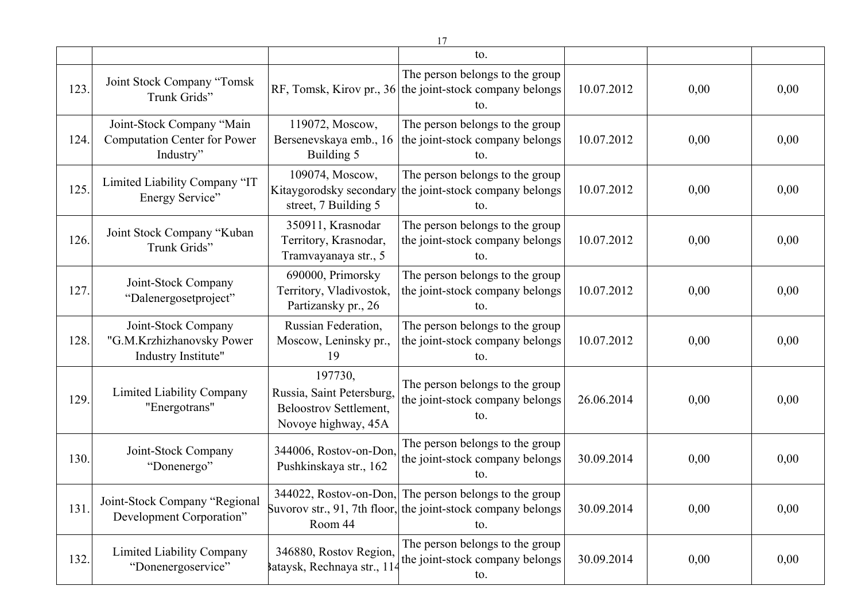|      | 17                                                                            |                                                                                              |                                                                                                        |            |      |      |  |  |  |
|------|-------------------------------------------------------------------------------|----------------------------------------------------------------------------------------------|--------------------------------------------------------------------------------------------------------|------------|------|------|--|--|--|
|      |                                                                               |                                                                                              | to.                                                                                                    |            |      |      |  |  |  |
| 123. | Joint Stock Company "Tomsk<br>Trunk Grids"                                    |                                                                                              | The person belongs to the group<br>RF, Tomsk, Kirov pr., 36 the joint-stock company belongs<br>to.     | 10.07.2012 | 0,00 | 0,00 |  |  |  |
| 124. | Joint-Stock Company "Main<br><b>Computation Center for Power</b><br>Industry" | 119072, Moscow,<br>Bersenevskaya emb., 16<br>Building 5                                      | The person belongs to the group<br>the joint-stock company belongs<br>to.                              | 10.07.2012 | 0,00 | 0,00 |  |  |  |
| 125. | Limited Liability Company "IT<br>Energy Service"                              | 109074, Moscow,<br>Kitaygorodsky secondary<br>street, 7 Building 5                           | The person belongs to the group<br>the joint-stock company belongs<br>to.                              | 10.07.2012 | 0,00 | 0,00 |  |  |  |
| 126. | Joint Stock Company "Kuban<br>Trunk Grids"                                    | 350911, Krasnodar<br>Territory, Krasnodar,<br>Tramvayanaya str., 5                           | The person belongs to the group<br>the joint-stock company belongs<br>to.                              | 10.07.2012 | 0,00 | 0,00 |  |  |  |
| 127. | Joint-Stock Company<br>"Dalenergosetproject"                                  | 690000, Primorsky<br>Territory, Vladivostok,<br>Partizansky pr., 26                          | The person belongs to the group<br>the joint-stock company belongs<br>to.                              | 10.07.2012 | 0,00 | 0,00 |  |  |  |
| 128. | Joint-Stock Company<br>"G.M.Krzhizhanovsky Power<br>Industry Institute"       | Russian Federation,<br>Moscow, Leninsky pr.,<br>19                                           | The person belongs to the group<br>the joint-stock company belongs<br>to.                              | 10.07.2012 | 0,00 | 0,00 |  |  |  |
| 129. | <b>Limited Liability Company</b><br>"Energotrans"                             | 197730,<br>Russia, Saint Petersburg,<br><b>Beloostrov Settlement,</b><br>Novoye highway, 45A | The person belongs to the group<br>the joint-stock company belongs<br>to.                              | 26.06.2014 | 0,00 | 0,00 |  |  |  |
| 130. | Joint-Stock Company<br>"Donenergo"                                            | 344006, Rostov-on-Don,<br>Pushkinskaya str., 162                                             | The person belongs to the group<br>the joint-stock company belongs<br>to.                              | 30.09.2014 | 0,00 | 0,00 |  |  |  |
| 131. | Joint-Stock Company "Regional<br>Development Corporation"                     | 344022, Rostov-on-Don,<br>Room 44                                                            | The person belongs to the group<br>Suvorov str., 91, 7th floor, the joint-stock company belongs<br>to. | 30.09.2014 | 0,00 | 0,00 |  |  |  |
| 132. | <b>Limited Liability Company</b><br>"Donenergoservice"                        | 346880, Rostov Region,<br>Bataysk, Rechnaya str., 114                                        | The person belongs to the group<br>the joint-stock company belongs<br>to.                              | 30.09.2014 | 0,00 | 0,00 |  |  |  |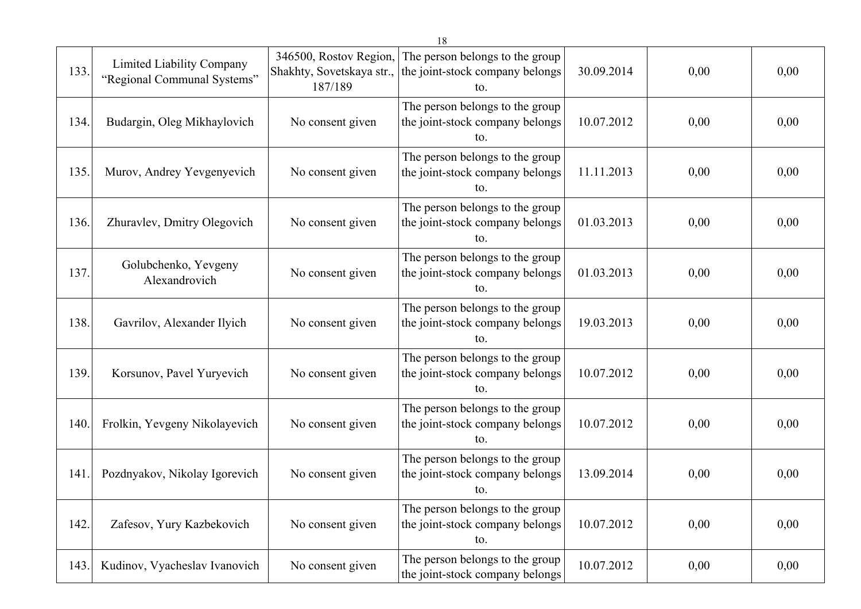| 133. | Limited Liability Company<br>"Regional Communal Systems" | 346500, Rostov Region,<br>Shakhty, Sovetskaya str.,<br>187/189 | The person belongs to the group<br>the joint-stock company belongs<br>to. | 30.09.2014 | 0,00 | 0,00 |
|------|----------------------------------------------------------|----------------------------------------------------------------|---------------------------------------------------------------------------|------------|------|------|
| 134. | Budargin, Oleg Mikhaylovich                              | No consent given                                               | The person belongs to the group<br>the joint-stock company belongs<br>to. | 10.07.2012 | 0,00 | 0,00 |
| 135. | Murov, Andrey Yevgenyevich                               | No consent given                                               | The person belongs to the group<br>the joint-stock company belongs<br>to. | 11.11.2013 | 0,00 | 0,00 |
| 136. | Zhuravlev, Dmitry Olegovich                              | No consent given                                               | The person belongs to the group<br>the joint-stock company belongs<br>to. | 01.03.2013 | 0,00 | 0,00 |
| 137. | Golubchenko, Yevgeny<br>Alexandrovich                    | No consent given                                               | The person belongs to the group<br>the joint-stock company belongs<br>to. | 01.03.2013 | 0,00 | 0,00 |
| 138. | Gavrilov, Alexander Ilyich                               | No consent given                                               | The person belongs to the group<br>the joint-stock company belongs<br>to. | 19.03.2013 | 0,00 | 0,00 |
| 139. | Korsunov, Pavel Yuryevich                                | No consent given                                               | The person belongs to the group<br>the joint-stock company belongs<br>to. | 10.07.2012 | 0,00 | 0,00 |
| 140. | Frolkin, Yevgeny Nikolayevich                            | No consent given                                               | The person belongs to the group<br>the joint-stock company belongs<br>to. | 10.07.2012 | 0,00 | 0,00 |
| 141  | Pozdnyakov, Nikolay Igorevich                            | No consent given                                               | The person belongs to the group<br>the joint-stock company belongs<br>to. | 13.09.2014 | 0,00 | 0,00 |
| 142. | Zafesov, Yury Kazbekovich                                | No consent given                                               | The person belongs to the group<br>the joint-stock company belongs<br>to. | 10.07.2012 | 0,00 | 0,00 |
| 143. | Kudinov, Vyacheslav Ivanovich                            | No consent given                                               | The person belongs to the group<br>the joint-stock company belongs        | 10.07.2012 | 0,00 | 0,00 |

18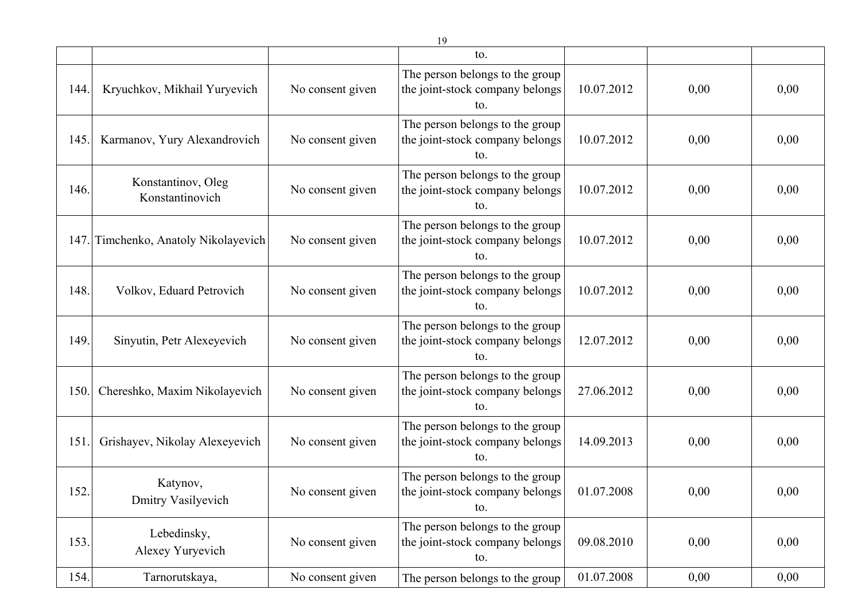|      |                                       |                  | to.                                                                       |            |      |      |
|------|---------------------------------------|------------------|---------------------------------------------------------------------------|------------|------|------|
| 144. | Kryuchkov, Mikhail Yuryevich          | No consent given | The person belongs to the group<br>the joint-stock company belongs<br>to. | 10.07.2012 | 0,00 | 0,00 |
| 145. | Karmanov, Yury Alexandrovich          | No consent given | The person belongs to the group<br>the joint-stock company belongs<br>to. | 10.07.2012 | 0,00 | 0,00 |
| 146. | Konstantinov, Oleg<br>Konstantinovich | No consent given | The person belongs to the group<br>the joint-stock company belongs<br>to. | 10.07.2012 | 0,00 | 0,00 |
|      | 147. Timchenko, Anatoly Nikolayevich  | No consent given | The person belongs to the group<br>the joint-stock company belongs<br>to. | 10.07.2012 | 0,00 | 0,00 |
| 148. | Volkov, Eduard Petrovich              | No consent given | The person belongs to the group<br>the joint-stock company belongs<br>to. | 10.07.2012 | 0,00 | 0,00 |
| 149. | Sinyutin, Petr Alexeyevich            | No consent given | The person belongs to the group<br>the joint-stock company belongs<br>to. | 12.07.2012 | 0,00 | 0,00 |
| 150. | Chereshko, Maxim Nikolayevich         | No consent given | The person belongs to the group<br>the joint-stock company belongs<br>to. | 27.06.2012 | 0,00 | 0,00 |
| 151  | Grishayev, Nikolay Alexeyevich        | No consent given | The person belongs to the group<br>the joint-stock company belongs<br>to. | 14.09.2013 | 0,00 | 0,00 |
| 152. | Katynov,<br>Dmitry Vasilyevich        | No consent given | The person belongs to the group<br>the joint-stock company belongs<br>to. | 01.07.2008 | 0,00 | 0,00 |
| 153. | Lebedinsky,<br>Alexey Yuryevich       | No consent given | The person belongs to the group<br>the joint-stock company belongs<br>to. | 09.08.2010 | 0,00 | 0,00 |
| 154. | Tarnorutskaya,                        | No consent given | The person belongs to the group                                           | 01.07.2008 | 0,00 | 0,00 |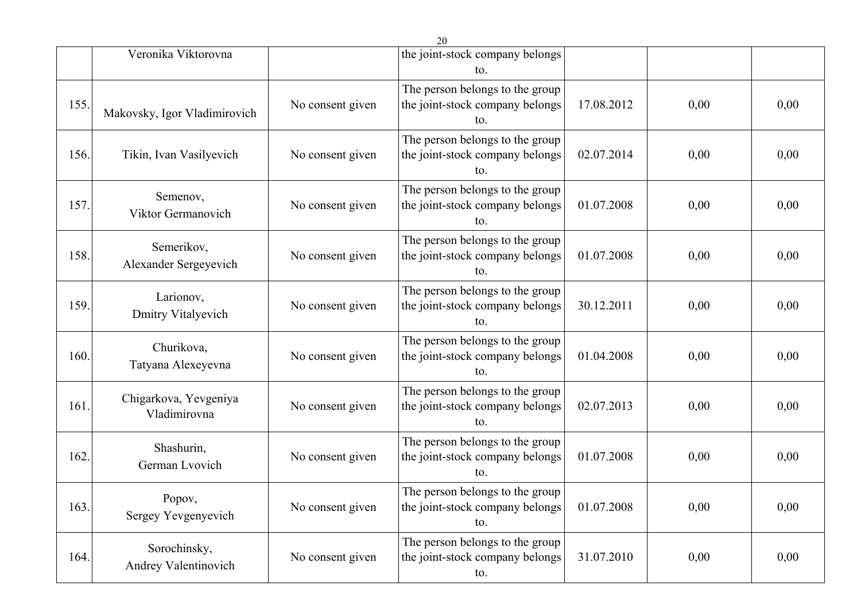|      |                                       |                  | 20                                                                        |            |      |      |
|------|---------------------------------------|------------------|---------------------------------------------------------------------------|------------|------|------|
|      | Veronika Viktorovna                   |                  | the joint-stock company belongs<br>to.                                    |            |      |      |
| 155. | Makovsky, Igor Vladimirovich          | No consent given | The person belongs to the group<br>the joint-stock company belongs<br>to. | 17.08.2012 | 0,00 | 0,00 |
| 156. | Tikin, Ivan Vasilyevich               | No consent given | The person belongs to the group<br>the joint-stock company belongs<br>to. | 02.07.2014 | 0,00 | 0,00 |
| 157. | Semenov,<br>Viktor Germanovich        | No consent given | The person belongs to the group<br>the joint-stock company belongs<br>to. | 01.07.2008 | 0,00 | 0,00 |
| 158. | Semerikov,<br>Alexander Sergeyevich   | No consent given | The person belongs to the group<br>the joint-stock company belongs<br>to. | 01.07.2008 | 0,00 | 0,00 |
| 159. | Larionov,<br>Dmitry Vitalyevich       | No consent given | The person belongs to the group<br>the joint-stock company belongs<br>to. | 30.12.2011 | 0,00 | 0,00 |
| 160. | Churikova,<br>Tatyana Alexeyevna      | No consent given | The person belongs to the group<br>the joint-stock company belongs<br>to. | 01.04.2008 | 0,00 | 0,00 |
| 161. | Chigarkova, Yevgeniya<br>Vladimirovna | No consent given | The person belongs to the group<br>the joint-stock company belongs<br>to. | 02.07.2013 | 0,00 | 0,00 |
| 162. | Shashurin,<br>German Lvovich          | No consent given | The person belongs to the group<br>the joint-stock company belongs<br>to. | 01.07.2008 | 0,00 | 0,00 |
| 163. | Popov,<br>Sergey Yevgenyevich         | No consent given | The person belongs to the group<br>the joint-stock company belongs<br>to. | 01.07.2008 | 0,00 | 0,00 |
| 164. | Sorochinsky,<br>Andrey Valentinovich  | No consent given | The person belongs to the group<br>the joint-stock company belongs<br>to. | 31.07.2010 | 0,00 | 0,00 |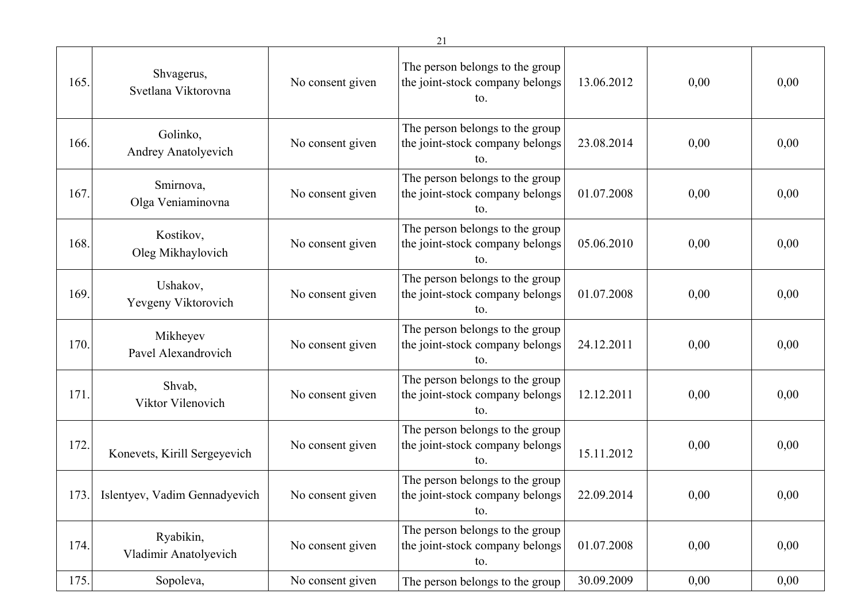| 165. | Shvagerus,<br>Svetlana Viktorovna  | No consent given | The person belongs to the group<br>the joint-stock company belongs<br>to. | 13.06.2012 | 0,00 | 0,00 |
|------|------------------------------------|------------------|---------------------------------------------------------------------------|------------|------|------|
| 166. | Golinko,<br>Andrey Anatolyevich    | No consent given | The person belongs to the group<br>the joint-stock company belongs<br>to. | 23.08.2014 | 0,00 | 0,00 |
| 167. | Smirnova,<br>Olga Veniaminovna     | No consent given | The person belongs to the group<br>the joint-stock company belongs<br>to. | 01.07.2008 | 0,00 | 0,00 |
| 168. | Kostikov,<br>Oleg Mikhaylovich     | No consent given | The person belongs to the group<br>the joint-stock company belongs<br>to. | 05.06.2010 | 0,00 | 0,00 |
| 169. | Ushakov,<br>Yevgeny Viktorovich    | No consent given | The person belongs to the group<br>the joint-stock company belongs<br>to. | 01.07.2008 | 0,00 | 0,00 |
| 170. | Mikheyev<br>Pavel Alexandrovich    | No consent given | The person belongs to the group<br>the joint-stock company belongs<br>to. | 24.12.2011 | 0,00 | 0,00 |
| 171. | Shvab,<br>Viktor Vilenovich        | No consent given | The person belongs to the group<br>the joint-stock company belongs<br>to. | 12.12.2011 | 0,00 | 0,00 |
| 172. | Konevets, Kirill Sergeyevich       | No consent given | The person belongs to the group<br>the joint-stock company belongs<br>to. | 15.11.2012 | 0,00 | 0,00 |
| 173. | Islentyev, Vadim Gennadyevich      | No consent given | The person belongs to the group<br>the joint-stock company belongs<br>to. | 22.09.2014 | 0,00 | 0,00 |
| 174. | Ryabikin,<br>Vladimir Anatolyevich | No consent given | The person belongs to the group<br>the joint-stock company belongs<br>to. | 01.07.2008 | 0,00 | 0,00 |
| 175. | Sopoleva,                          | No consent given | The person belongs to the group                                           | 30.09.2009 | 0,00 | 0,00 |

21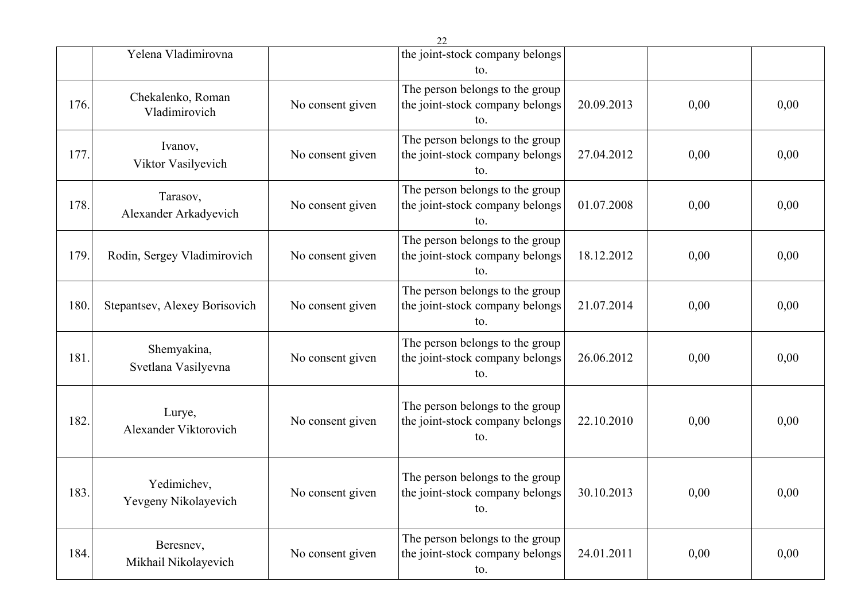|      |                                     |                  | 22                                                                        |            |          |      |
|------|-------------------------------------|------------------|---------------------------------------------------------------------------|------------|----------|------|
|      | Yelena Vladimirovna                 |                  | the joint-stock company belongs<br>to.                                    |            |          |      |
| 176. | Chekalenko, Roman<br>Vladimirovich  | No consent given | The person belongs to the group<br>the joint-stock company belongs<br>to. | 20.09.2013 | 0,00     | 0,00 |
| 177. | Ivanov,<br>Viktor Vasilyevich       | No consent given | The person belongs to the group<br>the joint-stock company belongs<br>to. | 27.04.2012 | 0,00     | 0,00 |
| 178. | Tarasov,<br>Alexander Arkadyevich   | No consent given | The person belongs to the group<br>the joint-stock company belongs<br>to. | 01.07.2008 | 0,00     | 0,00 |
| 179. | Rodin, Sergey Vladimirovich         | No consent given | The person belongs to the group<br>the joint-stock company belongs<br>to. | 18.12.2012 | 0,00     | 0,00 |
| 180. | Stepantsev, Alexey Borisovich       | No consent given | The person belongs to the group<br>the joint-stock company belongs<br>to. | 21.07.2014 | 0,00     | 0,00 |
| 181. | Shemyakina,<br>Svetlana Vasilyevna  | No consent given | The person belongs to the group<br>the joint-stock company belongs<br>to. | 26.06.2012 | 0,00     | 0,00 |
| 182. | Lurye,<br>Alexander Viktorovich     | No consent given | The person belongs to the group<br>the joint-stock company belongs<br>to. | 22.10.2010 | 0,00     | 0,00 |
| 183. | Yedimichev,<br>Yevgeny Nikolayevich | No consent given | The person belongs to the group<br>the joint-stock company belongs<br>to. | 30.10.2013 | $0,\!00$ | 0,00 |
| 184. | Beresnev,<br>Mikhail Nikolayevich   | No consent given | The person belongs to the group<br>the joint-stock company belongs<br>to. | 24.01.2011 | 0,00     | 0,00 |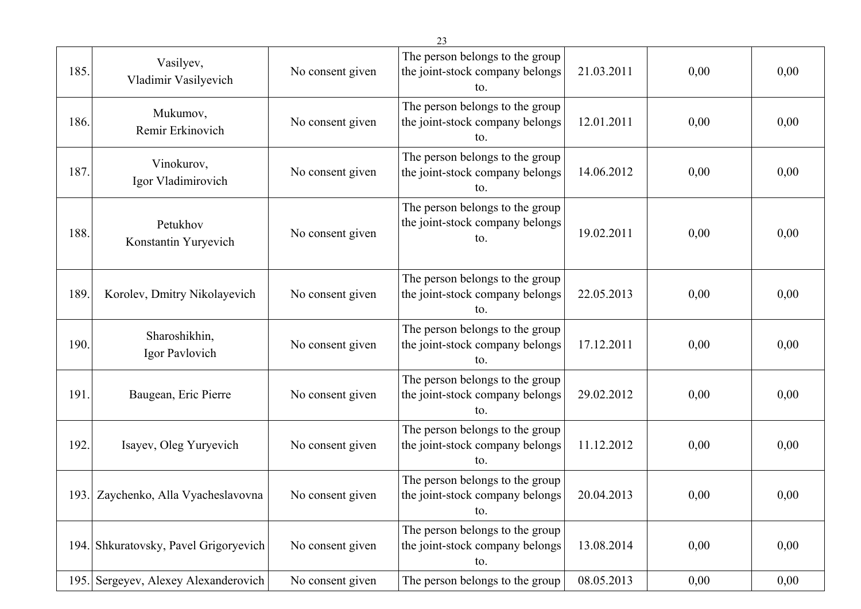|      |                                       |                  | 23                                                                        |            |      |      |
|------|---------------------------------------|------------------|---------------------------------------------------------------------------|------------|------|------|
| 185. | Vasilyev,<br>Vladimir Vasilyevich     | No consent given | The person belongs to the group<br>the joint-stock company belongs<br>to. | 21.03.2011 | 0,00 | 0,00 |
| 186. | Mukumov,<br>Remir Erkinovich          | No consent given | The person belongs to the group<br>the joint-stock company belongs<br>to. | 12.01.2011 | 0,00 | 0,00 |
| 187. | Vinokurov,<br>Igor Vladimirovich      | No consent given | The person belongs to the group<br>the joint-stock company belongs<br>to. | 14.06.2012 | 0,00 | 0,00 |
| 188. | Petukhov<br>Konstantin Yuryevich      | No consent given | The person belongs to the group<br>the joint-stock company belongs<br>to. | 19.02.2011 | 0,00 | 0,00 |
| 189. | Korolev, Dmitry Nikolayevich          | No consent given | The person belongs to the group<br>the joint-stock company belongs<br>to. | 22.05.2013 | 0,00 | 0,00 |
| 190. | Sharoshikhin,<br>Igor Pavlovich       | No consent given | The person belongs to the group<br>the joint-stock company belongs<br>to. | 17.12.2011 | 0,00 | 0,00 |
| 191. | Baugean, Eric Pierre                  | No consent given | The person belongs to the group<br>the joint-stock company belongs<br>to. | 29.02.2012 | 0,00 | 0,00 |
| 192. | Isayev, Oleg Yuryevich                | No consent given | The person belongs to the group<br>the joint-stock company belongs<br>to. | 11.12.2012 | 0,00 | 0,00 |
|      | 193. Zaychenko, Alla Vyacheslavovna   | No consent given | The person belongs to the group<br>the joint-stock company belongs<br>to. | 20.04.2013 | 0,00 | 0,00 |
|      | 194. Shkuratovsky, Pavel Grigoryevich | No consent given | The person belongs to the group<br>the joint-stock company belongs<br>to. | 13.08.2014 | 0,00 | 0,00 |
|      | 195. Sergeyev, Alexey Alexanderovich  | No consent given | The person belongs to the group                                           | 08.05.2013 | 0,00 | 0,00 |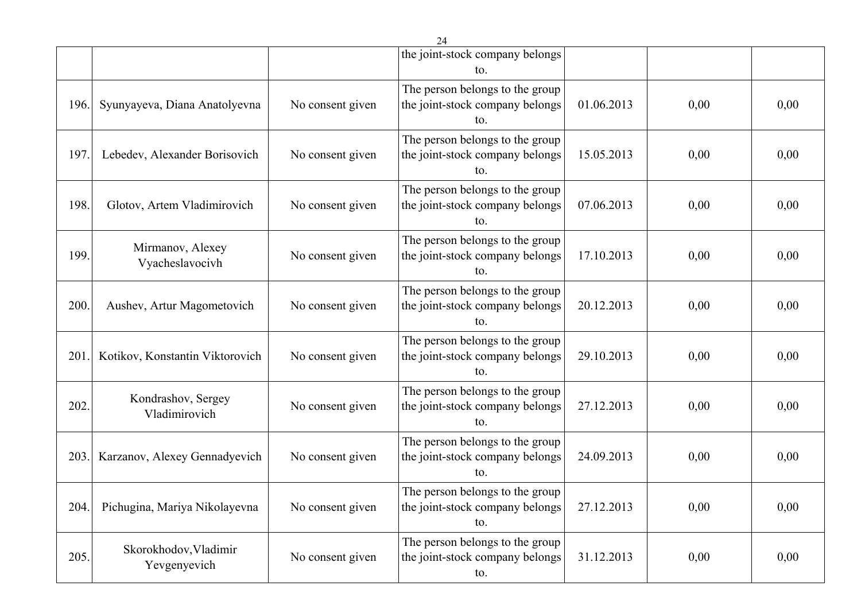|      |                                       |                  | 24                                                                        |            |      |      |
|------|---------------------------------------|------------------|---------------------------------------------------------------------------|------------|------|------|
|      |                                       |                  | the joint-stock company belongs<br>to.                                    |            |      |      |
| 196. | Syunyayeva, Diana Anatolyevna         | No consent given | The person belongs to the group<br>the joint-stock company belongs<br>to. | 01.06.2013 | 0,00 | 0,00 |
| 197. | Lebedev, Alexander Borisovich         | No consent given | The person belongs to the group<br>the joint-stock company belongs<br>to. | 15.05.2013 | 0,00 | 0,00 |
| 198. | Glotov, Artem Vladimirovich           | No consent given | The person belongs to the group<br>the joint-stock company belongs<br>to. | 07.06.2013 | 0,00 | 0,00 |
| 199. | Mirmanov, Alexey<br>Vyacheslavocivh   | No consent given | The person belongs to the group<br>the joint-stock company belongs<br>to. | 17.10.2013 | 0,00 | 0,00 |
| 200. | Aushev, Artur Magometovich            | No consent given | The person belongs to the group<br>the joint-stock company belongs<br>to. | 20.12.2013 | 0,00 | 0,00 |
| 201  | Kotikov, Konstantin Viktorovich       | No consent given | The person belongs to the group<br>the joint-stock company belongs<br>to. | 29.10.2013 | 0,00 | 0,00 |
| 202. | Kondrashov, Sergey<br>Vladimirovich   | No consent given | The person belongs to the group<br>the joint-stock company belongs<br>to. | 27.12.2013 | 0,00 | 0,00 |
| 203  | Karzanov, Alexey Gennadyevich         | No consent given | The person belongs to the group<br>the joint-stock company belongs<br>to. | 24.09.2013 | 0,00 | 0,00 |
| 204. | Pichugina, Mariya Nikolayevna         | No consent given | The person belongs to the group<br>the joint-stock company belongs<br>to. | 27.12.2013 | 0,00 | 0,00 |
| 205. | Skorokhodov, Vladimir<br>Yevgenyevich | No consent given | The person belongs to the group<br>the joint-stock company belongs<br>to. | 31.12.2013 | 0,00 | 0,00 |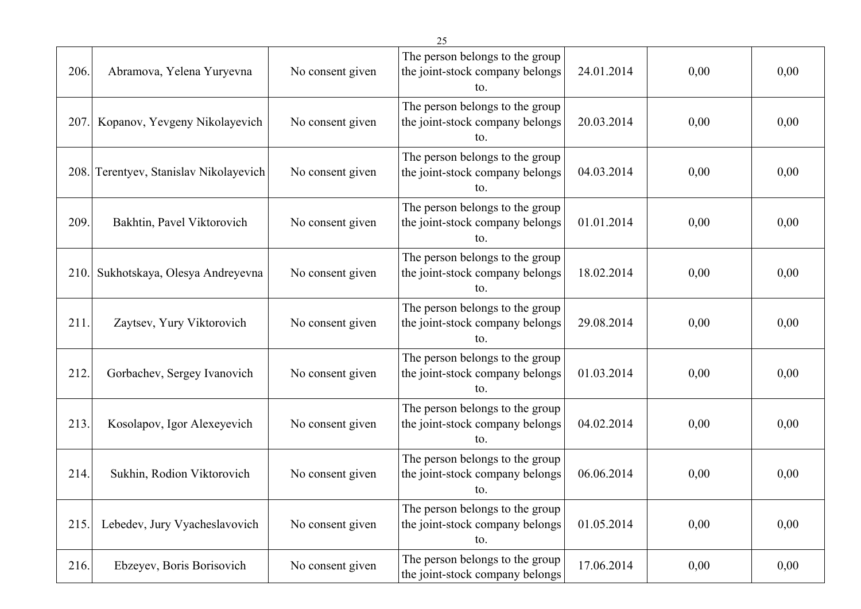|      |                                   |                  | 25                                                                        |            |      |      |
|------|-----------------------------------|------------------|---------------------------------------------------------------------------|------------|------|------|
| 206. | Abramova, Yelena Yuryevna         | No consent given | The person belongs to the group<br>the joint-stock company belongs<br>to. | 24.01.2014 | 0,00 | 0,00 |
| 207. | Kopanov, Yevgeny Nikolayevich     | No consent given | The person belongs to the group<br>the joint-stock company belongs<br>to. | 20.03.2014 | 0,00 | 0,00 |
| 208. | Terentyev, Stanislav Nikolayevich | No consent given | The person belongs to the group<br>the joint-stock company belongs<br>to. | 04.03.2014 | 0,00 | 0,00 |
| 209. | Bakhtin, Pavel Viktorovich        | No consent given | The person belongs to the group<br>the joint-stock company belongs<br>to. | 01.01.2014 | 0,00 | 0,00 |
| 210  | Sukhotskaya, Olesya Andreyevna    | No consent given | The person belongs to the group<br>the joint-stock company belongs<br>to. | 18.02.2014 | 0,00 | 0,00 |
| 211  | Zaytsev, Yury Viktorovich         | No consent given | The person belongs to the group<br>the joint-stock company belongs<br>to. | 29.08.2014 | 0,00 | 0,00 |
| 212. | Gorbachev, Sergey Ivanovich       | No consent given | The person belongs to the group<br>the joint-stock company belongs<br>to. | 01.03.2014 | 0,00 | 0,00 |
| 213. | Kosolapov, Igor Alexeyevich       | No consent given | The person belongs to the group<br>the joint-stock company belongs<br>to. | 04.02.2014 | 0,00 | 0,00 |
| 214. | Sukhin, Rodion Viktorovich        | No consent given | The person belongs to the group<br>the joint-stock company belongs<br>to. | 06.06.2014 | 0,00 | 0,00 |
| 215. | Lebedev, Jury Vyacheslavovich     | No consent given | The person belongs to the group<br>the joint-stock company belongs<br>to. | 01.05.2014 | 0,00 | 0,00 |
| 216. | Ebzeyev, Boris Borisovich         | No consent given | The person belongs to the group<br>the joint-stock company belongs        | 17.06.2014 | 0,00 | 0,00 |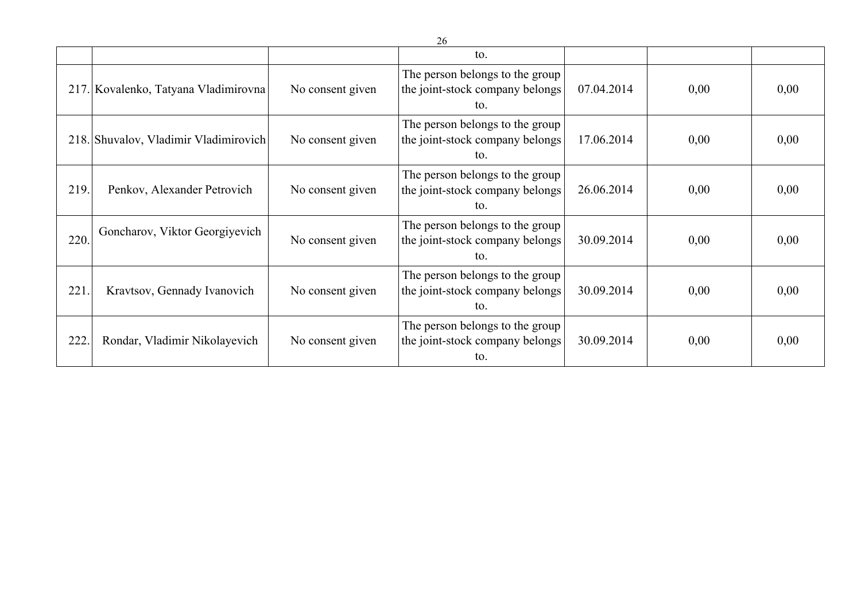|      |                                       |                  | to.                                                                       |            |      |      |
|------|---------------------------------------|------------------|---------------------------------------------------------------------------|------------|------|------|
|      | 217. Kovalenko, Tatyana Vladimirovna  | No consent given | The person belongs to the group<br>the joint-stock company belongs<br>to. | 07.04.2014 | 0,00 | 0,00 |
|      | 218. Shuvalov, Vladimir Vladimirovich | No consent given | The person belongs to the group<br>the joint-stock company belongs<br>to. | 17.06.2014 | 0,00 | 0,00 |
| 219. | Penkov, Alexander Petrovich           | No consent given | The person belongs to the group<br>the joint-stock company belongs<br>to. | 26.06.2014 | 0,00 | 0,00 |
| 220. | Goncharov, Viktor Georgiyevich        | No consent given | The person belongs to the group<br>the joint-stock company belongs<br>to. | 30.09.2014 | 0,00 | 0,00 |
| 221  | Kravtsov, Gennady Ivanovich           | No consent given | The person belongs to the group<br>the joint-stock company belongs<br>to. | 30.09.2014 | 0,00 | 0,00 |
| 222. | Rondar, Vladimir Nikolayevich         | No consent given | The person belongs to the group<br>the joint-stock company belongs<br>to. | 30.09.2014 | 0,00 | 0,00 |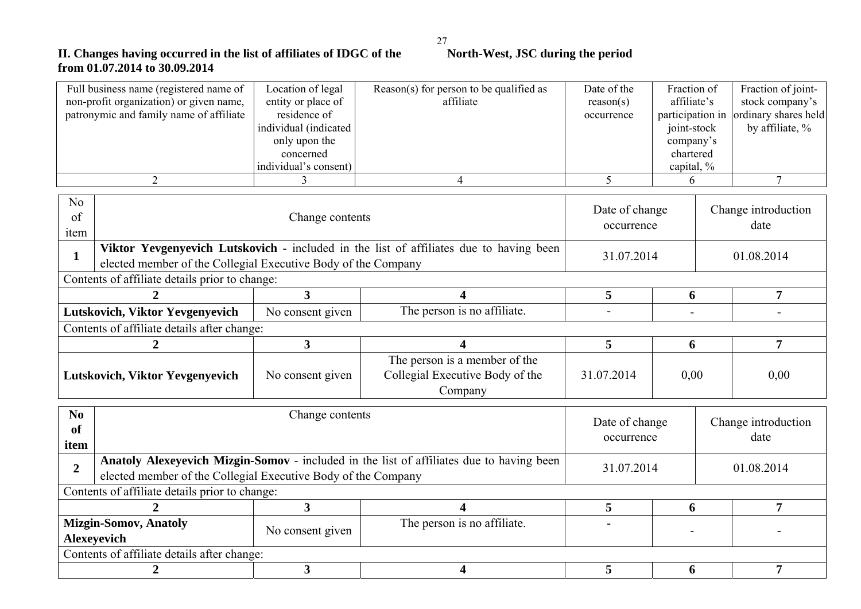## **II.** Changes having occurred in the list of affiliates of IDGC of the North-West, JSC during the period **from 01.07.2014 to 30.09.2014**

| Full business name (registered name of<br>non-profit organization) or given name,<br>patronymic and family name of affiliate |                                                               | Location of legal<br>entity or place of<br>residence of<br>individual (indicated<br>only upon the<br>concerned<br>individual's consent) | Reason(s) for person to be qualified as<br>affiliate                                     | Date of the<br>reason(s)<br>occurrence | Fraction of<br>affiliate's<br>participation in<br>joint-stock<br>company's<br>chartered<br>capital, % | Fraction of joint-<br>stock company's<br>ordinary shares held<br>by affiliate, % |  |
|------------------------------------------------------------------------------------------------------------------------------|---------------------------------------------------------------|-----------------------------------------------------------------------------------------------------------------------------------------|------------------------------------------------------------------------------------------|----------------------------------------|-------------------------------------------------------------------------------------------------------|----------------------------------------------------------------------------------|--|
|                                                                                                                              | $\overline{2}$                                                | 3                                                                                                                                       | $\overline{4}$                                                                           | 5                                      | 6                                                                                                     | $\overline{7}$                                                                   |  |
| N <sub>o</sub><br>of<br>item                                                                                                 |                                                               | Change contents                                                                                                                         |                                                                                          | Date of change<br>occurrence           |                                                                                                       | Change introduction<br>date                                                      |  |
| $\mathbf{1}$                                                                                                                 | elected member of the Collegial Executive Body of the Company |                                                                                                                                         | Viktor Yevgenyevich Lutskovich - included in the list of affiliates due to having been   | 31.07.2014                             |                                                                                                       | 01.08.2014                                                                       |  |
|                                                                                                                              | Contents of affiliate details prior to change:                |                                                                                                                                         |                                                                                          |                                        |                                                                                                       |                                                                                  |  |
|                                                                                                                              | $\overline{2}$                                                | $\overline{\mathbf{3}}$                                                                                                                 | 4                                                                                        | 5                                      | 6                                                                                                     | $\overline{7}$                                                                   |  |
| The person is no affiliate.<br>No consent given<br>Lutskovich, Viktor Yevgenyevich                                           |                                                               |                                                                                                                                         |                                                                                          |                                        |                                                                                                       |                                                                                  |  |
|                                                                                                                              | Contents of affiliate details after change:                   |                                                                                                                                         |                                                                                          |                                        |                                                                                                       |                                                                                  |  |
|                                                                                                                              | $\overline{2}$                                                | $\mathbf{3}$                                                                                                                            | 4                                                                                        | 5                                      | 6                                                                                                     | $\overline{7}$                                                                   |  |
|                                                                                                                              | Lutskovich, Viktor Yevgenyevich                               | No consent given                                                                                                                        | The person is a member of the<br>Collegial Executive Body of the<br>Company              | 31.07.2014                             | 0,00                                                                                                  | 0,00                                                                             |  |
| N <sub>0</sub><br><b>of</b><br>item                                                                                          |                                                               | Change contents                                                                                                                         |                                                                                          | Date of change<br>occurrence           |                                                                                                       | Change introduction<br>date                                                      |  |
| $\overline{2}$                                                                                                               | elected member of the Collegial Executive Body of the Company |                                                                                                                                         | Anatoly Alexeyevich Mizgin-Somov - included in the list of affiliates due to having been | 31.07.2014                             |                                                                                                       | 01.08.2014                                                                       |  |
|                                                                                                                              | Contents of affiliate details prior to change:                |                                                                                                                                         |                                                                                          |                                        |                                                                                                       |                                                                                  |  |
|                                                                                                                              | $\mathcal{D}_{\cdot}$                                         | 3 <sup>1</sup>                                                                                                                          | 4                                                                                        | 5                                      | 6                                                                                                     | 7                                                                                |  |
|                                                                                                                              | <b>Mizgin-Somov, Anatoly</b><br>Alexeyevich                   | No consent given                                                                                                                        | The person is no affiliate.                                                              |                                        |                                                                                                       |                                                                                  |  |
|                                                                                                                              | Contents of affiliate details after change:                   |                                                                                                                                         |                                                                                          |                                        |                                                                                                       |                                                                                  |  |
|                                                                                                                              | $\overline{2}$                                                | $\overline{\mathbf{3}}$                                                                                                                 | 4                                                                                        | 5                                      | $\overline{7}$                                                                                        |                                                                                  |  |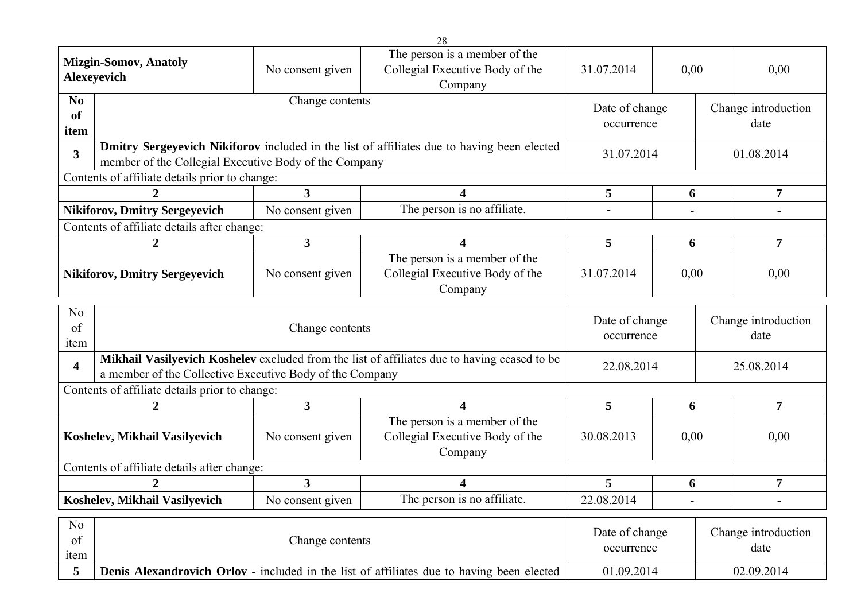|                                         |                                                       |                                                                                                                                                          | 28                                                                                         |                              |            |                             |                             |
|-----------------------------------------|-------------------------------------------------------|----------------------------------------------------------------------------------------------------------------------------------------------------------|--------------------------------------------------------------------------------------------|------------------------------|------------|-----------------------------|-----------------------------|
|                                         | <b>Mizgin-Somov, Anatoly</b><br>Alexeyevich           | No consent given                                                                                                                                         | The person is a member of the<br>Collegial Executive Body of the<br>Company                | 31.07.2014                   | 0,00       |                             | 0,00                        |
| N <sub>0</sub><br><sub>of</sub><br>item |                                                       | Change contents                                                                                                                                          |                                                                                            | Date of change<br>occurrence |            |                             | Change introduction<br>date |
| $\overline{3}$                          | member of the Collegial Executive Body of the Company |                                                                                                                                                          | Dmitry Sergeyevich Nikiforov included in the list of affiliates due to having been elected | 31.07.2014                   |            |                             | 01.08.2014                  |
|                                         | Contents of affiliate details prior to change:        |                                                                                                                                                          |                                                                                            |                              |            |                             |                             |
| $\mathbf{2}$                            |                                                       | $\overline{3}$                                                                                                                                           | 4                                                                                          | 5                            | 6          |                             | $\overline{7}$              |
|                                         | <b>Nikiforov, Dmitry Sergeyevich</b>                  | No consent given                                                                                                                                         | The person is no affiliate.                                                                | L,                           |            |                             |                             |
|                                         | Contents of affiliate details after change:           |                                                                                                                                                          |                                                                                            |                              |            |                             |                             |
|                                         | $\overline{2}$                                        | 3 <sup>1</sup>                                                                                                                                           | 4                                                                                          | 5                            | 6          |                             | $\overline{\mathbf{7}}$     |
|                                         | <b>Nikiforov, Dmitry Sergeyevich</b>                  | No consent given                                                                                                                                         | The person is a member of the<br>Collegial Executive Body of the<br>Company                | 31.07.2014                   | 0,00       |                             | 0,00                        |
| N <sub>o</sub><br>of<br>item            |                                                       | Change contents                                                                                                                                          |                                                                                            | Date of change<br>occurrence |            | Change introduction<br>date |                             |
| $\overline{\mathbf{4}}$                 |                                                       | Mikhail Vasilyevich Koshelev excluded from the list of affiliates due to having ceased to be<br>a member of the Collective Executive Body of the Company |                                                                                            |                              | 22.08.2014 |                             |                             |
|                                         |                                                       |                                                                                                                                                          |                                                                                            |                              |            |                             |                             |
|                                         | Contents of affiliate details prior to change:        |                                                                                                                                                          |                                                                                            |                              |            |                             |                             |
|                                         | $\overline{2}$                                        | $\overline{\mathbf{3}}$                                                                                                                                  | 4                                                                                          | 5                            | 6          |                             | $\overline{7}$              |
|                                         | Koshelev, Mikhail Vasilyevich                         | No consent given                                                                                                                                         | The person is a member of the<br>Collegial Executive Body of the<br>Company                | 30.08.2013                   | 0,00       |                             | 0,00                        |
|                                         | Contents of affiliate details after change:           |                                                                                                                                                          |                                                                                            |                              |            |                             |                             |
|                                         | 2                                                     | 3 <sup>1</sup>                                                                                                                                           | 4                                                                                          | 5                            | 6          |                             | $\overline{7}$              |
|                                         | Koshelev, Mikhail Vasilyevich                         | No consent given                                                                                                                                         | The person is no affiliate.                                                                | 22.08.2014                   |            |                             |                             |
| N <sub>0</sub><br>of<br>item            |                                                       | Change contents                                                                                                                                          |                                                                                            | Date of change<br>occurrence |            |                             | Change introduction<br>date |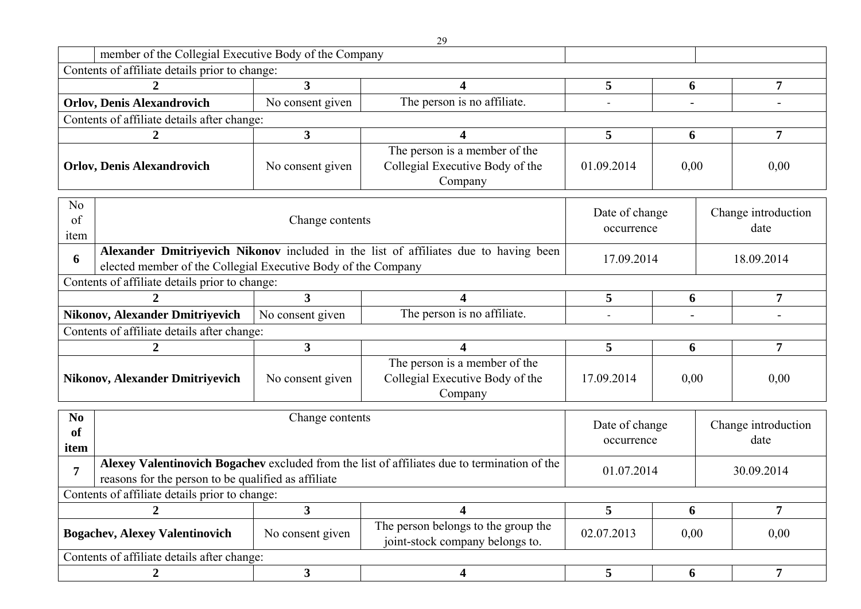|                              |                                                                                                                                                                     |                  | 29                                                                                           |                              |              |      |                             |  |
|------------------------------|---------------------------------------------------------------------------------------------------------------------------------------------------------------------|------------------|----------------------------------------------------------------------------------------------|------------------------------|--------------|------|-----------------------------|--|
|                              | member of the Collegial Executive Body of the Company                                                                                                               |                  |                                                                                              |                              |              |      |                             |  |
|                              | Contents of affiliate details prior to change:                                                                                                                      |                  |                                                                                              |                              |              |      |                             |  |
|                              | $\overline{2}$                                                                                                                                                      | $\mathbf{3}$     | 4                                                                                            | 5                            | 6            |      | $\overline{7}$              |  |
|                              | <b>Orlov, Denis Alexandrovich</b>                                                                                                                                   | No consent given | The person is no affiliate.                                                                  |                              |              |      |                             |  |
|                              | Contents of affiliate details after change:                                                                                                                         |                  |                                                                                              |                              |              |      |                             |  |
|                              | $\boldsymbol{2}$                                                                                                                                                    | 3                | 4                                                                                            | 5                            | 6            |      | $\overline{7}$              |  |
|                              | <b>Orlov, Denis Alexandrovich</b>                                                                                                                                   | No consent given | The person is a member of the<br>Collegial Executive Body of the<br>Company                  | 01.09.2014<br>0,00           |              | 0,00 |                             |  |
| N <sub>o</sub><br>of<br>item |                                                                                                                                                                     | Change contents  |                                                                                              | Date of change<br>occurrence |              |      | Change introduction<br>date |  |
| 6                            | Alexander Dmitriyevich Nikonov included in the list of affiliates due to having been<br>17.09.2014<br>elected member of the Collegial Executive Body of the Company |                  |                                                                                              |                              |              |      | 18.09.2014                  |  |
|                              | Contents of affiliate details prior to change:                                                                                                                      |                  |                                                                                              |                              |              |      |                             |  |
|                              |                                                                                                                                                                     | 3                | 4                                                                                            | 5                            | 6            |      | 7                           |  |
|                              | <b>Nikonov, Alexander Dmitriyevich</b>                                                                                                                              | No consent given | The person is no affiliate.                                                                  |                              |              |      |                             |  |
|                              | Contents of affiliate details after change:                                                                                                                         |                  |                                                                                              |                              |              |      |                             |  |
|                              |                                                                                                                                                                     | 3                | 4                                                                                            | 5                            | 6            |      | 7                           |  |
|                              | <b>Nikonov, Alexander Dmitriyevich</b>                                                                                                                              | No consent given | The person is a member of the<br>Collegial Executive Body of the<br>Company                  | 17.09.2014                   | 0,00<br>0,00 |      |                             |  |
| N <sub>0</sub><br>of<br>item |                                                                                                                                                                     | Change contents  |                                                                                              | Date of change<br>occurrence |              |      | Change introduction<br>date |  |
| 7                            | reasons for the person to be qualified as affiliate                                                                                                                 |                  | Alexey Valentinovich Bogachev excluded from the list of affiliates due to termination of the | 01.07.2014                   |              |      | 30.09.2014                  |  |
|                              | Contents of affiliate details prior to change:                                                                                                                      |                  |                                                                                              |                              |              |      |                             |  |
|                              | $\overline{2}$                                                                                                                                                      | $\mathbf{3}$     | 4                                                                                            | 5                            | 6            |      | $\overline{7}$              |  |
|                              | <b>Bogachev, Alexey Valentinovich</b>                                                                                                                               | No consent given | The person belongs to the group the<br>joint-stock company belongs to.                       | 02.07.2013                   | 0,00         |      | 0,00                        |  |
|                              | Contents of affiliate details after change:                                                                                                                         |                  |                                                                                              |                              |              |      |                             |  |
|                              | $\overline{2}$                                                                                                                                                      | 3 <sup>1</sup>   | $\overline{\mathbf{4}}$                                                                      | 5                            | 6            |      | 7 <sup>1</sup>              |  |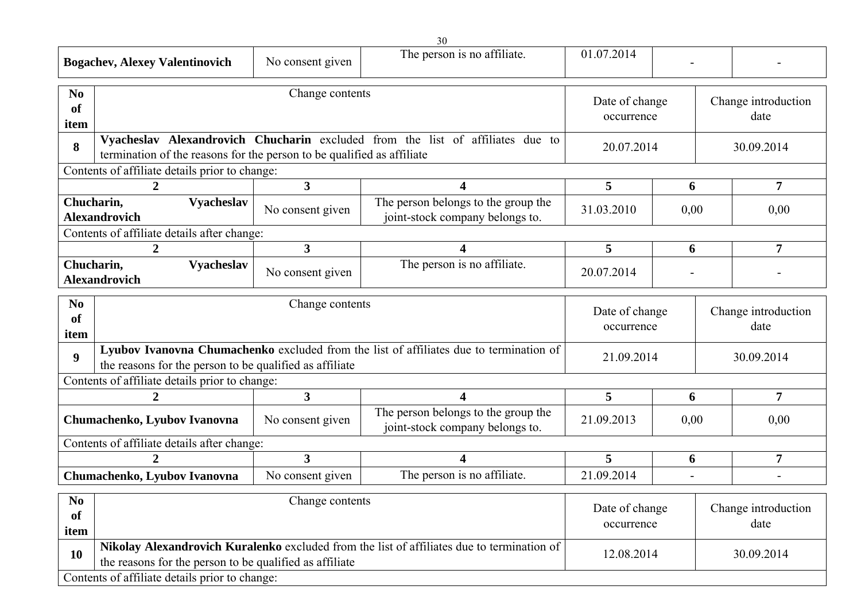|                                             | <b>Bogachev, Alexey Valentinovich</b>                                                                     | No consent given        | $50^{\circ}$<br>The person is no affiliate.                                                | 01.07.2014                                                  |                          |  |                             |  |  |
|---------------------------------------------|-----------------------------------------------------------------------------------------------------------|-------------------------|--------------------------------------------------------------------------------------------|-------------------------------------------------------------|--------------------------|--|-----------------------------|--|--|
| N <sub>0</sub><br><b>of</b><br>item         |                                                                                                           | Change contents         |                                                                                            | Date of change<br>occurrence                                |                          |  | Change introduction<br>date |  |  |
| 8                                           | termination of the reasons for the person to be qualified as affiliate                                    |                         | Vyacheslav Alexandrovich Chucharin excluded from the list of affiliates due to             |                                                             | 20.07.2014<br>30.09.2014 |  |                             |  |  |
|                                             | Contents of affiliate details prior to change:                                                            |                         |                                                                                            |                                                             |                          |  |                             |  |  |
|                                             | $\overline{2}$                                                                                            | $\overline{\mathbf{3}}$ | 4                                                                                          | 5                                                           | 6                        |  | $\overline{7}$              |  |  |
| Chucharin,                                  | <b>Vyacheslav</b><br><b>Alexandrovich</b>                                                                 | No consent given        | The person belongs to the group the<br>joint-stock company belongs to.                     | 31.03.2010                                                  | 0,00                     |  | 0,00                        |  |  |
| Contents of affiliate details after change: |                                                                                                           |                         |                                                                                            |                                                             |                          |  |                             |  |  |
|                                             | $\overline{2}$                                                                                            | $\overline{\mathbf{3}}$ | 4                                                                                          | 5                                                           | 6                        |  | $\overline{7}$              |  |  |
| Chucharin,                                  | <b>Vyacheslav</b><br><b>Alexandrovich</b>                                                                 | No consent given        | The person is no affiliate.                                                                | 20.07.2014                                                  |                          |  |                             |  |  |
| N <sub>0</sub><br><b>of</b><br>item         | Change contents<br>Date of change<br>occurrence                                                           |                         |                                                                                            |                                                             |                          |  | Change introduction<br>date |  |  |
| $\boldsymbol{9}$                            | the reasons for the person to be qualified as affiliate                                                   |                         | Lyubov Ivanovna Chumachenko excluded from the list of affiliates due to termination of     | 21.09.2014                                                  |                          |  | 30.09.2014                  |  |  |
|                                             | Contents of affiliate details prior to change:                                                            |                         |                                                                                            |                                                             |                          |  |                             |  |  |
|                                             | $\overline{2}$                                                                                            | $\overline{\mathbf{3}}$ | 4                                                                                          | 5                                                           | 6                        |  | $\overline{7}$              |  |  |
|                                             | Chumachenko, Lyubov Ivanovna                                                                              | No consent given        | The person belongs to the group the<br>joint-stock company belongs to.                     | 21.09.2013                                                  | 0,00                     |  | 0,00                        |  |  |
|                                             | Contents of affiliate details after change:                                                               |                         |                                                                                            |                                                             |                          |  |                             |  |  |
|                                             |                                                                                                           | $\mathbf{3}$            | 4                                                                                          | 5                                                           | 6                        |  | $\overline{7}$              |  |  |
|                                             | Chumachenko, Lyubov Ivanovna                                                                              | No consent given        | The person is no affiliate.                                                                | 21.09.2014                                                  |                          |  |                             |  |  |
| $\bf No$<br>of<br>item                      |                                                                                                           | Change contents         |                                                                                            | Date of change<br>Change introduction<br>date<br>occurrence |                          |  |                             |  |  |
| <b>10</b>                                   | the reasons for the person to be qualified as affiliate<br>Contents of affiliate details prior to change: |                         | Nikolay Alexandrovich Kuralenko excluded from the list of affiliates due to termination of | 12.08.2014                                                  |                          |  | 30.09.2014                  |  |  |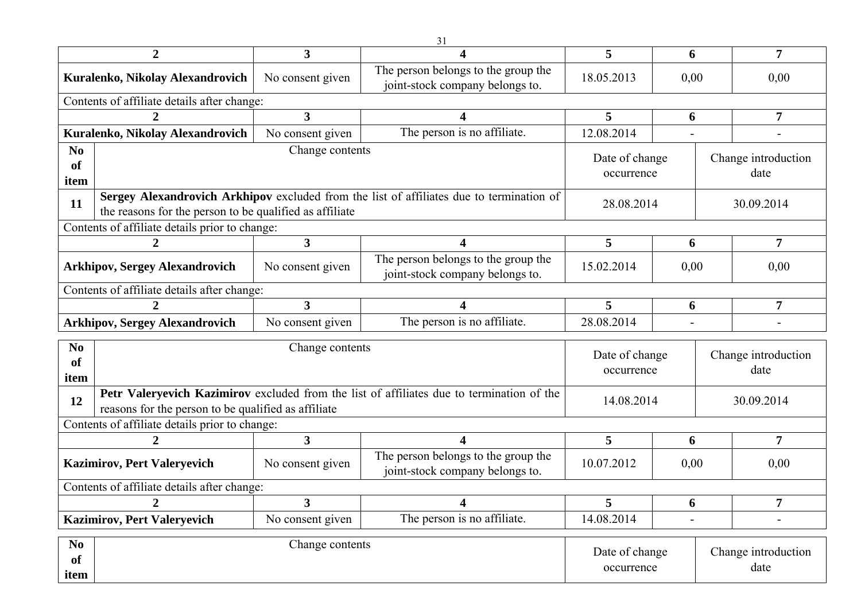|                              | $\overline{2}$                                          | $\overline{3}$               | 4                                                                                         | 5                            | 6                           |  | $\overline{7}$              |  |  |
|------------------------------|---------------------------------------------------------|------------------------------|-------------------------------------------------------------------------------------------|------------------------------|-----------------------------|--|-----------------------------|--|--|
|                              | Kuralenko, Nikolay Alexandrovich                        | No consent given             | The person belongs to the group the<br>joint-stock company belongs to.                    | 18.05.2013                   | 0,00                        |  | 0,00                        |  |  |
|                              | Contents of affiliate details after change:             |                              |                                                                                           |                              |                             |  |                             |  |  |
|                              | $\overline{2}$                                          | $\overline{\mathbf{3}}$      | 4                                                                                         | 5                            | 6                           |  | 7                           |  |  |
|                              | Kuralenko, Nikolay Alexandrovich                        | No consent given             | The person is no affiliate.                                                               | 12.08.2014                   |                             |  |                             |  |  |
| N <sub>0</sub><br>of<br>item |                                                         | Change contents              |                                                                                           | Date of change<br>occurrence |                             |  | Change introduction<br>date |  |  |
| 11                           | the reasons for the person to be qualified as affiliate |                              | Sergey Alexandrovich Arkhipov excluded from the list of affiliates due to termination of  | 28.08.2014                   |                             |  | 30.09.2014                  |  |  |
|                              | Contents of affiliate details prior to change:          |                              |                                                                                           |                              |                             |  |                             |  |  |
|                              | $\overline{2}$                                          | $\overline{\mathbf{3}}$      | 4                                                                                         | 5                            | 6                           |  | $\overline{7}$              |  |  |
|                              | <b>Arkhipov, Sergey Alexandrovich</b>                   | No consent given             | The person belongs to the group the<br>joint-stock company belongs to.                    | 15.02.2014                   | 0,00                        |  | 0,00                        |  |  |
|                              | Contents of affiliate details after change:             |                              |                                                                                           |                              |                             |  |                             |  |  |
|                              |                                                         | $\overline{3}$               | 4                                                                                         | 5                            | 6                           |  | 7                           |  |  |
|                              | <b>Arkhipov, Sergey Alexandrovich</b>                   | No consent given             | The person is no affiliate.                                                               | 28.08.2014                   |                             |  | $\blacksquare$              |  |  |
| N <sub>0</sub><br>of<br>item |                                                         | Change contents              |                                                                                           | Date of change<br>occurrence |                             |  | Change introduction<br>date |  |  |
| 12                           | reasons for the person to be qualified as affiliate     |                              | Petr Valeryevich Kazimirov excluded from the list of affiliates due to termination of the | 14.08.2014                   |                             |  | 30.09.2014                  |  |  |
|                              | Contents of affiliate details prior to change:          |                              |                                                                                           |                              |                             |  |                             |  |  |
|                              | $\overline{2}$                                          | $\overline{\mathbf{3}}$      | $\overline{\mathbf{4}}$                                                                   | 5                            | 6                           |  | $\overline{7}$              |  |  |
|                              | <b>Kazimirov, Pert Valeryevich</b>                      | No consent given             | The person belongs to the group the<br>joint-stock company belongs to.                    | 10.07.2012                   | 0,00                        |  | 0,00                        |  |  |
|                              | Contents of affiliate details after change:             |                              |                                                                                           |                              |                             |  |                             |  |  |
|                              | 2                                                       | $\overline{3}$               | $\overline{\mathbf{4}}$                                                                   | 5                            | 6                           |  | $\overline{7}$              |  |  |
|                              | <b>Kazimirov, Pert Valeryevich</b>                      | No consent given             | The person is no affiliate.                                                               | 14.08.2014                   |                             |  | $\overline{\phantom{a}}$    |  |  |
| N <sub>0</sub><br>of         |                                                         | Date of change<br>occurrence |                                                                                           |                              | Change introduction<br>date |  |                             |  |  |

**item**

31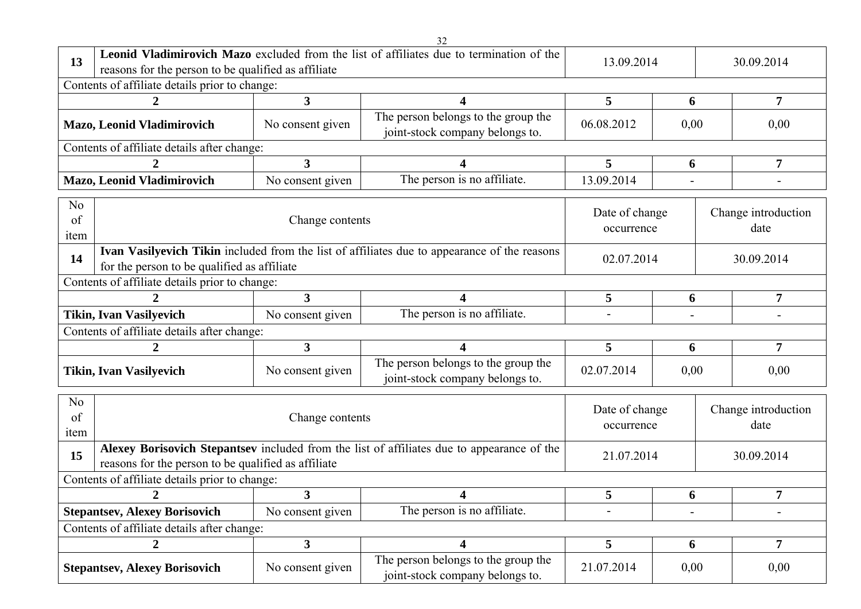|                                                                                                                                    |                                                                                                                                                                         |                  | 32                                                                                         |                              |      |                             |
|------------------------------------------------------------------------------------------------------------------------------------|-------------------------------------------------------------------------------------------------------------------------------------------------------------------------|------------------|--------------------------------------------------------------------------------------------|------------------------------|------|-----------------------------|
| 13                                                                                                                                 | reasons for the person to be qualified as affiliate                                                                                                                     |                  | Leonid Vladimirovich Mazo excluded from the list of affiliates due to termination of the   | 13.09.2014                   |      | 30.09.2014                  |
|                                                                                                                                    | Contents of affiliate details prior to change:                                                                                                                          |                  |                                                                                            |                              |      |                             |
|                                                                                                                                    |                                                                                                                                                                         | 3                | 4                                                                                          | 5                            | 6    | $\overline{7}$              |
|                                                                                                                                    | Mazo, Leonid Vladimirovich                                                                                                                                              | No consent given | The person belongs to the group the<br>joint-stock company belongs to.                     | 06.08.2012                   | 0,00 | 0,00                        |
|                                                                                                                                    | Contents of affiliate details after change:                                                                                                                             |                  |                                                                                            |                              |      |                             |
|                                                                                                                                    |                                                                                                                                                                         | $\overline{3}$   | 4                                                                                          | 5                            | 6    | $\overline{7}$              |
|                                                                                                                                    | Mazo, Leonid Vladimirovich                                                                                                                                              | No consent given | The person is no affiliate.                                                                | 13.09.2014                   |      |                             |
| N <sub>o</sub><br>of<br>item                                                                                                       |                                                                                                                                                                         | Change contents  |                                                                                            | Date of change<br>occurrence |      | Change introduction<br>date |
| 14                                                                                                                                 | Ivan Vasilyevich Tikin included from the list of affiliates due to appearance of the reasons<br>02.07.2014<br>30.09.2014<br>for the person to be qualified as affiliate |                  |                                                                                            |                              |      |                             |
|                                                                                                                                    | Contents of affiliate details prior to change:                                                                                                                          |                  |                                                                                            |                              |      |                             |
|                                                                                                                                    |                                                                                                                                                                         | $\overline{3}$   | 4                                                                                          | 5                            | 6    | 7                           |
|                                                                                                                                    | <b>Tikin, Ivan Vasilyevich</b>                                                                                                                                          | No consent given | The person is no affiliate.                                                                | $\overline{\phantom{0}}$     |      |                             |
|                                                                                                                                    | Contents of affiliate details after change:                                                                                                                             |                  |                                                                                            |                              |      |                             |
|                                                                                                                                    | 2                                                                                                                                                                       | $\overline{3}$   | 4                                                                                          | 5                            | 6    | 7                           |
|                                                                                                                                    | <b>Tikin, Ivan Vasilyevich</b>                                                                                                                                          | No consent given | The person belongs to the group the<br>joint-stock company belongs to.                     | 02.07.2014                   | 0,00 | 0,00                        |
| N <sub>o</sub><br>of<br>item                                                                                                       |                                                                                                                                                                         | Change contents  |                                                                                            | Date of change<br>occurrence |      | Change introduction<br>date |
| 15                                                                                                                                 | reasons for the person to be qualified as affiliate                                                                                                                     |                  | Alexey Borisovich Stepantsev included from the list of affiliates due to appearance of the | 21.07.2014                   |      | 30.09.2014                  |
|                                                                                                                                    | Contents of affiliate details prior to change:                                                                                                                          |                  |                                                                                            |                              |      |                             |
|                                                                                                                                    | 2                                                                                                                                                                       | 3                | 4                                                                                          | 5                            | 6    | 7                           |
|                                                                                                                                    | <b>Stepantsev, Alexey Borisovich</b>                                                                                                                                    | No consent given | The person is no affiliate.                                                                |                              |      | -                           |
|                                                                                                                                    | Contents of affiliate details after change:                                                                                                                             |                  |                                                                                            |                              |      |                             |
|                                                                                                                                    | $\overline{2}$                                                                                                                                                          | 3 <sup>1</sup>   | 4                                                                                          | 5                            | 6    | 7                           |
| The person belongs to the group the<br><b>Stepantsev, Alexey Borisovich</b><br>No consent given<br>joint-stock company belongs to. |                                                                                                                                                                         |                  |                                                                                            | 21.07.2014                   | 0,00 | 0,00                        |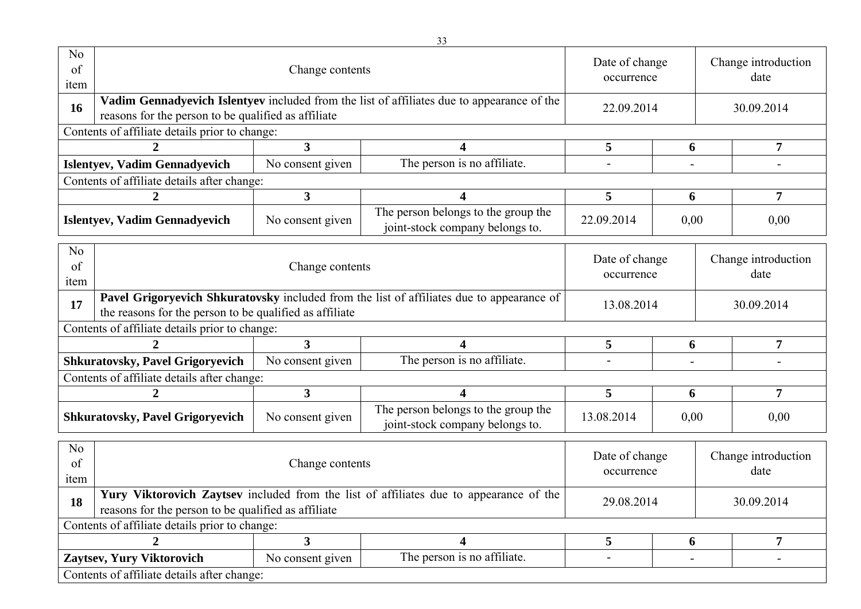| N <sub>o</sub><br>of<br>item |                                                         | Change contents<br>Vadim Gennadyevich Islentyev included from the list of affiliates due to appearance of the |                                                                                        |                              |                             |            | Change introduction<br>date |  |
|------------------------------|---------------------------------------------------------|---------------------------------------------------------------------------------------------------------------|----------------------------------------------------------------------------------------|------------------------------|-----------------------------|------------|-----------------------------|--|
| 16                           | reasons for the person to be qualified as affiliate     |                                                                                                               |                                                                                        | 22.09.2014                   |                             |            | 30.09.2014                  |  |
|                              | Contents of affiliate details prior to change:          |                                                                                                               |                                                                                        |                              |                             |            |                             |  |
|                              | $\overline{2}$                                          | 3                                                                                                             | 4                                                                                      | 5                            | 6                           |            | $\overline{7}$              |  |
|                              | <b>Islentyev, Vadim Gennadyevich</b>                    | No consent given                                                                                              | The person is no affiliate.                                                            |                              |                             |            |                             |  |
|                              | Contents of affiliate details after change:             |                                                                                                               |                                                                                        |                              |                             |            |                             |  |
|                              | 2                                                       | 3                                                                                                             | $\overline{\mathbf{4}}$                                                                | 5                            | 6                           |            | $\overline{7}$              |  |
|                              | <b>Islentyev, Vadim Gennadyevich</b>                    | No consent given                                                                                              | The person belongs to the group the<br>joint-stock company belongs to.                 | 0,00<br>22.09.2014           |                             | 0,00       |                             |  |
| No.<br>of<br>item            |                                                         | Date of change<br>occurrence                                                                                  |                                                                                        |                              | Change introduction<br>date |            |                             |  |
| 17                           | the reasons for the person to be qualified as affiliate | Pavel Grigoryevich Shkuratovsky included from the list of affiliates due to appearance of                     | 13.08.2014                                                                             |                              |                             | 30.09.2014 |                             |  |
|                              | Contents of affiliate details prior to change:          |                                                                                                               |                                                                                        |                              |                             |            |                             |  |
|                              | 2                                                       | 3                                                                                                             | 4                                                                                      | 5                            | 6                           |            | $\overline{7}$              |  |
|                              | <b>Shkuratovsky, Pavel Grigoryevich</b>                 | No consent given                                                                                              | The person is no affiliate.                                                            |                              |                             |            |                             |  |
|                              | Contents of affiliate details after change:             |                                                                                                               |                                                                                        |                              |                             |            |                             |  |
|                              | 2                                                       | $\mathbf{3}$                                                                                                  | 4                                                                                      | 5                            | 6                           |            | $\overline{7}$              |  |
|                              | <b>Shkuratovsky, Pavel Grigoryevich</b>                 | No consent given                                                                                              | The person belongs to the group the<br>joint-stock company belongs to.                 | 13.08.2014                   | 0,00                        |            | 0,00                        |  |
| N <sub>o</sub><br>of<br>item |                                                         | Change contents                                                                                               |                                                                                        | Date of change<br>occurrence |                             |            | Change introduction<br>date |  |
| 18                           | reasons for the person to be qualified as affiliate     |                                                                                                               | Yury Viktorovich Zaytsev included from the list of affiliates due to appearance of the | 29.08.2014                   |                             |            | 30.09.2014                  |  |
|                              | Contents of affiliate details prior to change:          |                                                                                                               |                                                                                        |                              |                             |            |                             |  |
|                              | $\overline{2}$                                          | 3 <sup>1</sup>                                                                                                | 4                                                                                      | 5 <sup>5</sup>               | 6                           |            | $\overline{7}$              |  |
|                              | Zaytsev, Yury Viktorovich                               | No consent given                                                                                              | The person is no affiliate.                                                            | $\blacksquare$               | $\blacksquare$              |            | $\blacksquare$              |  |
|                              | Contents of affiliate details after change:             |                                                                                                               |                                                                                        |                              |                             |            |                             |  |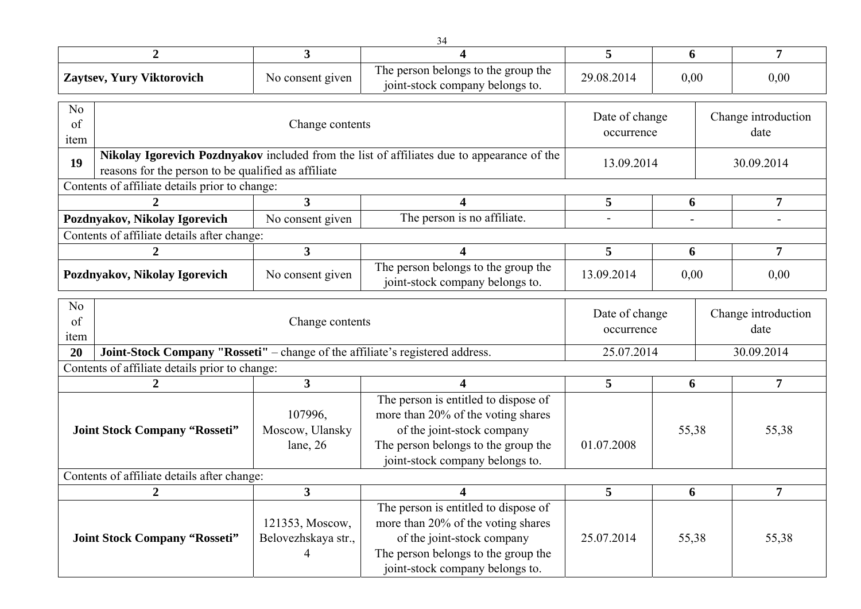|                                      |                                                                               |                                             | 34                                                                                                                                                                                 |                              |                          |  |                             |  |  |  |
|--------------------------------------|-------------------------------------------------------------------------------|---------------------------------------------|------------------------------------------------------------------------------------------------------------------------------------------------------------------------------------|------------------------------|--------------------------|--|-----------------------------|--|--|--|
|                                      | $\overline{2}$                                                                | $\mathbf{3}$                                |                                                                                                                                                                                    | 5                            | 6                        |  | 7                           |  |  |  |
|                                      | Zaytsev, Yury Viktorovich                                                     | No consent given                            | The person belongs to the group the<br>joint-stock company belongs to.                                                                                                             | 29.08.2014                   | 0,00                     |  | 0,00                        |  |  |  |
| N <sub>o</sub><br>of<br>item         |                                                                               | Change contents                             |                                                                                                                                                                                    | Date of change<br>occurrence |                          |  | Change introduction<br>date |  |  |  |
| 19                                   | reasons for the person to be qualified as affiliate                           |                                             | Nikolay Igorevich Pozdnyakov included from the list of affiliates due to appearance of the                                                                                         | 13.09.2014                   | 30.09.2014               |  |                             |  |  |  |
|                                      | Contents of affiliate details prior to change:                                |                                             |                                                                                                                                                                                    |                              |                          |  |                             |  |  |  |
|                                      | 2                                                                             | $\mathbf{3}$                                | 4                                                                                                                                                                                  | 5                            | 6                        |  | 7                           |  |  |  |
|                                      | Pozdnyakov, Nikolay Igorevich                                                 | No consent given                            | The person is no affiliate.                                                                                                                                                        |                              | $\overline{\phantom{a}}$ |  |                             |  |  |  |
|                                      | Contents of affiliate details after change:                                   |                                             |                                                                                                                                                                                    |                              |                          |  |                             |  |  |  |
|                                      | $\boldsymbol{2}$                                                              | $\mathbf{3}$                                | 4                                                                                                                                                                                  | 5                            | 6                        |  | $\overline{7}$              |  |  |  |
|                                      | Pozdnyakov, Nikolay Igorevich                                                 | No consent given                            | The person belongs to the group the<br>13.09.2014<br>joint-stock company belongs to.                                                                                               |                              | 0,00                     |  | 0,00                        |  |  |  |
| N <sub>0</sub><br>of<br>item         |                                                                               | Change contents                             |                                                                                                                                                                                    | Date of change<br>occurrence |                          |  | Change introduction<br>date |  |  |  |
| 20                                   | Joint-Stock Company "Rosseti" – change of the affiliate's registered address. |                                             |                                                                                                                                                                                    |                              | 25.07.2014               |  | 30.09.2014                  |  |  |  |
|                                      | Contents of affiliate details prior to change:                                |                                             |                                                                                                                                                                                    |                              |                          |  |                             |  |  |  |
|                                      | 2                                                                             | $\mathbf{3}$                                | 4                                                                                                                                                                                  | 5                            | 6                        |  | $\overline{7}$              |  |  |  |
| <b>Joint Stock Company "Rosseti"</b> |                                                                               | 107996,<br>Moscow, Ulansky<br>lane, $26$    | The person is entitled to dispose of<br>more than 20% of the voting shares<br>of the joint-stock company<br>The person belongs to the group the<br>joint-stock company belongs to. | 01.07.2008                   | 55,38                    |  | 55,38                       |  |  |  |
|                                      | Contents of affiliate details after change:                                   |                                             |                                                                                                                                                                                    |                              |                          |  |                             |  |  |  |
|                                      | $\boldsymbol{2}$                                                              | $\mathbf{3}$                                | $\boldsymbol{\Lambda}$                                                                                                                                                             | 5                            | 6                        |  | 7                           |  |  |  |
|                                      | <b>Joint Stock Company "Rosseti"</b>                                          | 121353, Moscow,<br>Belovezhskaya str.,<br>4 | The person is entitled to dispose of<br>more than 20% of the voting shares<br>of the joint-stock company<br>The person belongs to the group the<br>joint-stock company belongs to. | 25.07.2014                   | 55,38                    |  | 55,38                       |  |  |  |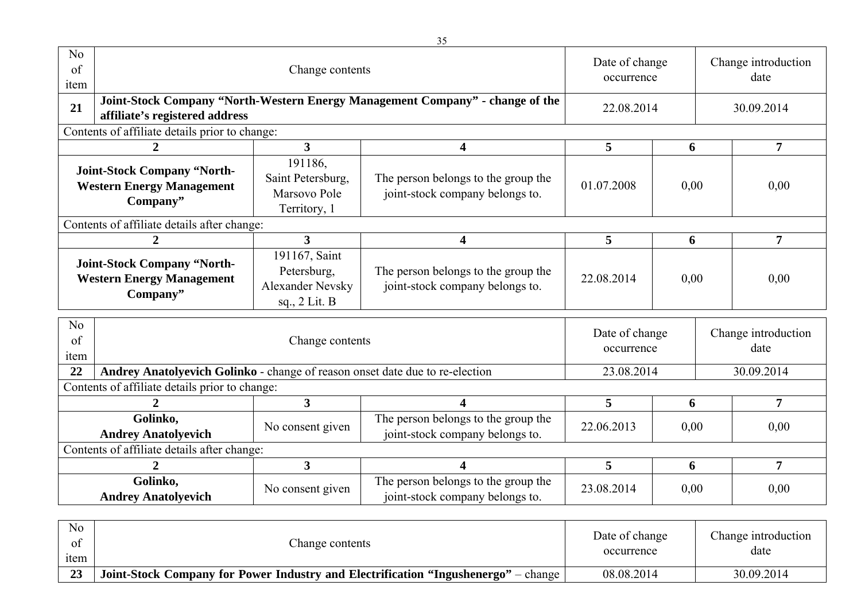| N <sub>o</sub><br>of<br>item                                                       |                                                                                                                 | Date of change<br>occurrence                                             |                                                                        | Change introduction<br>date  |            |                |                             |  |
|------------------------------------------------------------------------------------|-----------------------------------------------------------------------------------------------------------------|--------------------------------------------------------------------------|------------------------------------------------------------------------|------------------------------|------------|----------------|-----------------------------|--|
| 21                                                                                 | Joint-Stock Company "North-Western Energy Management Company" - change of the<br>affiliate's registered address | 22.08.2014                                                               |                                                                        |                              | 30.09.2014 |                |                             |  |
|                                                                                    | Contents of affiliate details prior to change:                                                                  |                                                                          |                                                                        |                              |            |                |                             |  |
| 3<br>$\overline{2}$<br>4                                                           |                                                                                                                 |                                                                          |                                                                        |                              | 6          | $\overline{7}$ |                             |  |
| <b>Joint-Stock Company "North-</b><br><b>Western Energy Management</b><br>Company" |                                                                                                                 | 191186,<br>Saint Petersburg,<br>Marsovo Pole<br>Territory, 1             | The person belongs to the group the<br>joint-stock company belongs to. | 01.07.2008                   | 0,00       |                | 0,00                        |  |
| Contents of affiliate details after change:                                        |                                                                                                                 |                                                                          |                                                                        |                              |            |                |                             |  |
| 2                                                                                  |                                                                                                                 | 3                                                                        | 4                                                                      | 5                            | 6          |                | $\overline{7}$              |  |
| <b>Joint-Stock Company "North-</b><br><b>Western Energy Management</b><br>Company" |                                                                                                                 | 191167, Saint<br>Petersburg,<br><b>Alexander Nevsky</b><br>sq., 2 Lit. B | The person belongs to the group the<br>joint-stock company belongs to. | 22.08.2014                   | 0,00       |                | 0,00                        |  |
| N <sub>o</sub><br>of<br>item                                                       |                                                                                                                 | Change contents                                                          |                                                                        | Date of change<br>occurrence |            |                | Change introduction<br>date |  |
| 22                                                                                 | Andrey Anatolyevich Golinko - change of reason onset date due to re-election                                    |                                                                          |                                                                        | 23.08.2014                   |            | 30.09.2014     |                             |  |
|                                                                                    | Contents of affiliate details prior to change:                                                                  |                                                                          |                                                                        |                              |            |                |                             |  |
|                                                                                    | $\mathcal{D}_{\cdot}$                                                                                           | $\mathbf{3}$                                                             | 4                                                                      | 5                            | 6          |                | 7                           |  |
|                                                                                    | Golinko,<br><b>Andrey Anatolyevich</b>                                                                          | No consent given                                                         | The person belongs to the group the<br>joint-stock company belongs to. | 22.06.2013                   | 0.00       |                | 0,00                        |  |
|                                                                                    | Contents of affiliate details after change:                                                                     |                                                                          |                                                                        |                              |            |                |                             |  |
|                                                                                    | $\mathcal{D}_{\cdot}$                                                                                           | $\mathbf{3}$                                                             | 4                                                                      | 5                            | 6          |                | 7                           |  |
|                                                                                    | Golinko,<br><b>Andrey Anatolyevich</b>                                                                          | No consent given                                                         | The person belongs to the group the<br>joint-stock company belongs to. | 23.08.2014                   | 0,00       |                | 0,00                        |  |

| N <sub>o</sub><br>ΩŤ<br><sub>1</sub> tem | Change contents                                                                           | Date of change<br>occurrence | Change introduction<br>date |
|------------------------------------------|-------------------------------------------------------------------------------------------|------------------------------|-----------------------------|
| 23                                       | <b>Joint-Stock Company for Power Industry and Electrification "Ingushenergo"</b> – change | 08.08.2014                   | 30.09.2014                  |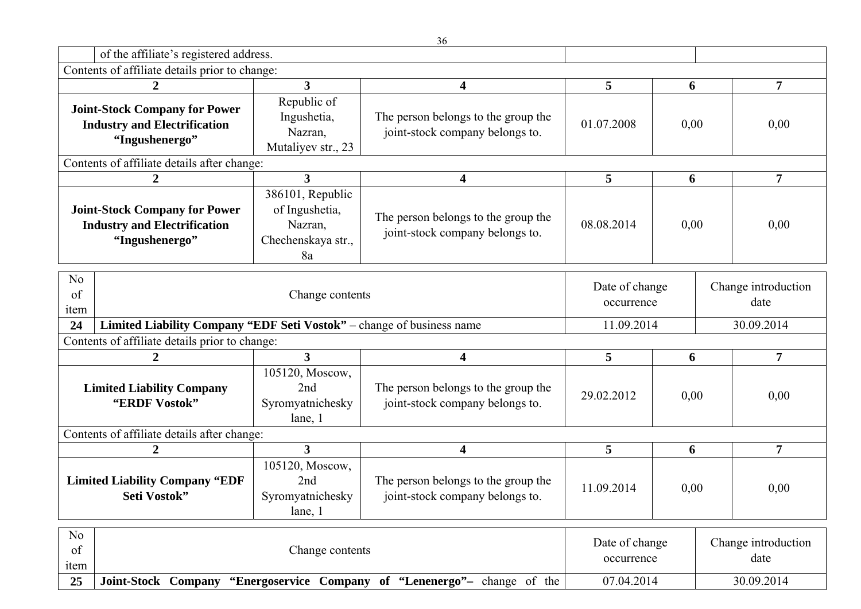|                                                                                                                |                                                                                          |                                                                           | 36                                                                     |                                            |      |      |                                           |
|----------------------------------------------------------------------------------------------------------------|------------------------------------------------------------------------------------------|---------------------------------------------------------------------------|------------------------------------------------------------------------|--------------------------------------------|------|------|-------------------------------------------|
|                                                                                                                | of the affiliate's registered address.                                                   |                                                                           |                                                                        |                                            |      |      |                                           |
|                                                                                                                | Contents of affiliate details prior to change:                                           |                                                                           |                                                                        |                                            |      |      |                                           |
|                                                                                                                | 2                                                                                        | $\mathbf{3}$                                                              | 4                                                                      | 5                                          | 6    |      | $\overline{7}$                            |
| <b>Joint-Stock Company for Power</b><br><b>Industry and Electrification</b><br>"Ingushenergo"                  |                                                                                          | Republic of<br>Ingushetia,<br>Nazran,<br>Mutaliyev str., 23               | The person belongs to the group the<br>joint-stock company belongs to. | 01.07.2008                                 | 0,00 |      | 0,00                                      |
|                                                                                                                | Contents of affiliate details after change:                                              |                                                                           |                                                                        |                                            |      |      |                                           |
|                                                                                                                | $\boldsymbol{2}$                                                                         | $\mathbf{3}$                                                              | 4                                                                      | 5                                          | 6    |      | $\overline{7}$                            |
| <b>Joint-Stock Company for Power</b><br><b>Industry and Electrification</b><br>"Ingushenergo"                  |                                                                                          | 386101, Republic<br>of Ingushetia,<br>Nazran,<br>Chechenskaya str.,<br>8a | The person belongs to the group the<br>joint-stock company belongs to. | 08.08.2014                                 | 0,00 |      | 0,00                                      |
| N <sub>o</sub><br>of<br>item<br>24                                                                             | Change contents<br>Limited Liability Company "EDF Seti Vostok" - change of business name |                                                                           |                                                                        | Date of change<br>occurrence<br>11.09.2014 |      |      | Change introduction<br>date<br>30.09.2014 |
|                                                                                                                |                                                                                          |                                                                           |                                                                        |                                            |      |      |                                           |
|                                                                                                                | Contents of affiliate details prior to change:                                           |                                                                           |                                                                        |                                            |      |      |                                           |
|                                                                                                                | $\overline{2}$                                                                           | $\overline{3}$                                                            | $\overline{\mathbf{4}}$                                                | 5 <sup>5</sup>                             | 6    |      | $\overline{7}$                            |
| <b>Limited Liability Company</b><br>"ERDF Vostok"                                                              |                                                                                          | 105120, Moscow,<br>2nd<br>Syromyatnichesky<br>lane, 1                     | The person belongs to the group the<br>joint-stock company belongs to. | 29.02.2012                                 | 0,00 |      | 0,00                                      |
|                                                                                                                | Contents of affiliate details after change:                                              |                                                                           |                                                                        |                                            |      |      |                                           |
|                                                                                                                | $\boldsymbol{2}$                                                                         | $\overline{3}$                                                            | $\overline{\mathbf{4}}$                                                | 5                                          | 6    |      | $\overline{7}$                            |
| 105120, Moscow,<br><b>Limited Liability Company "EDF</b><br>2nd<br>Syromyatnichesky<br>Seti Vostok"<br>lane, 1 |                                                                                          | The person belongs to the group the<br>joint-stock company belongs to.    | 11.09.2014                                                             | 0.00                                       |      | 0.00 |                                           |
| N <sub>o</sub><br>Date of change<br>Change introduction<br>of<br>Change contents<br>date<br>occurrence<br>item |                                                                                          |                                                                           |                                                                        |                                            |      |      |                                           |
| 25                                                                                                             | <b>Joint-Stock Company</b>                                                               |                                                                           | "Energoservice Company of "Lenenergo"- change of the                   | 07.04.2014                                 |      |      | 30.09.2014                                |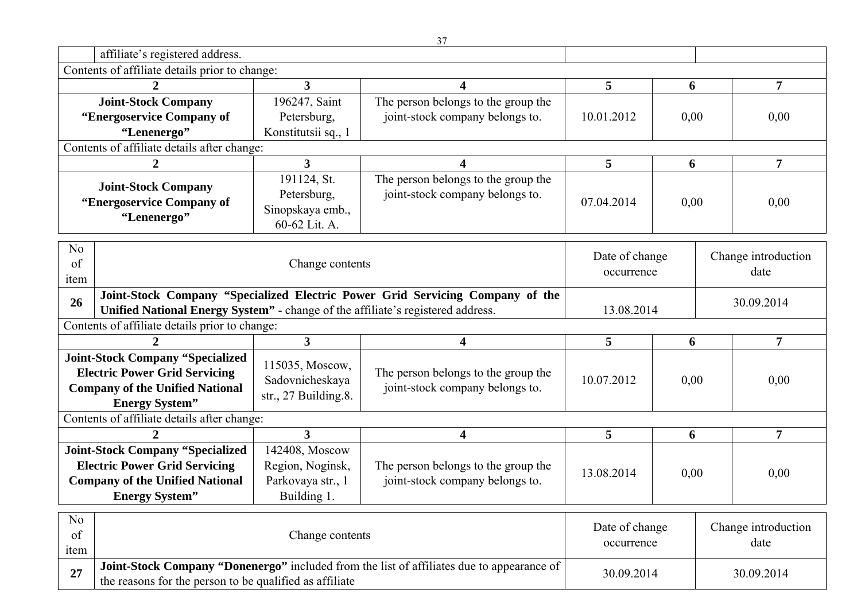|                                                                                       |                                                |                         | 37                                                                                        |                |            |                     |                     |  |
|---------------------------------------------------------------------------------------|------------------------------------------------|-------------------------|-------------------------------------------------------------------------------------------|----------------|------------|---------------------|---------------------|--|
|                                                                                       | affiliate's registered address.                |                         |                                                                                           |                |            |                     |                     |  |
|                                                                                       | Contents of affiliate details prior to change: |                         |                                                                                           |                |            |                     |                     |  |
|                                                                                       | $\mathcal{D}_{\cdot}$                          | 3                       | 4                                                                                         | 5              | 6          |                     | $\overline{7}$      |  |
| <b>Joint-Stock Company</b>                                                            |                                                | 196247, Saint           | The person belongs to the group the                                                       |                |            |                     |                     |  |
| "Energoservice Company of                                                             |                                                | Petersburg,             | joint-stock company belongs to.                                                           | 10.01.2012     | 0,00       |                     | 0,00                |  |
|                                                                                       | "Lenenergo"                                    | Konstitutsii sq., 1     |                                                                                           |                |            |                     |                     |  |
|                                                                                       | Contents of affiliate details after change:    |                         |                                                                                           |                |            |                     |                     |  |
|                                                                                       |                                                | $\overline{3}$          | 4                                                                                         | 5              | 6          |                     | $\overline{7}$      |  |
|                                                                                       | <b>Joint-Stock Company</b>                     | 191124, St.             | The person belongs to the group the                                                       |                |            |                     |                     |  |
|                                                                                       | "Energoservice Company of                      | Petersburg,             | joint-stock company belongs to.                                                           | 07.04.2014     | 0,00       |                     | 0,00                |  |
|                                                                                       | "Lenenergo"                                    | Sinopskaya emb.,        |                                                                                           |                |            |                     |                     |  |
|                                                                                       |                                                | 60-62 Lit. A.           |                                                                                           |                |            |                     |                     |  |
| N <sub>o</sub>                                                                        |                                                |                         |                                                                                           |                |            |                     |                     |  |
| of                                                                                    |                                                | Change contents         |                                                                                           | Date of change |            |                     | Change introduction |  |
| item                                                                                  |                                                | occurrence              |                                                                                           |                |            |                     | date                |  |
|                                                                                       |                                                |                         | Joint-Stock Company "Specialized Electric Power Grid Servicing Company of the             |                |            |                     |                     |  |
| 26<br>Unified National Energy System" - change of the affiliate's registered address. |                                                |                         |                                                                                           |                | 13.08.2014 |                     | 30.09.2014          |  |
|                                                                                       | Contents of affiliate details prior to change: |                         |                                                                                           |                |            |                     |                     |  |
|                                                                                       |                                                | $\overline{\mathbf{3}}$ | 4                                                                                         | 5              | 6          |                     | $\overline{7}$      |  |
|                                                                                       | <b>Joint-Stock Company "Specialized</b>        | 115035, Moscow,         |                                                                                           |                |            |                     |                     |  |
|                                                                                       | <b>Electric Power Grid Servicing</b>           | Sadovnicheskaya         | The person belongs to the group the                                                       | 10.07.2012     | 0,00       |                     | 0,00                |  |
|                                                                                       | <b>Company of the Unified National</b>         | str., $27$ Building.8.  | joint-stock company belongs to.                                                           |                |            |                     |                     |  |
|                                                                                       | <b>Energy System</b> "                         |                         |                                                                                           |                |            |                     |                     |  |
|                                                                                       | Contents of affiliate details after change:    |                         |                                                                                           |                |            |                     |                     |  |
|                                                                                       |                                                | $3^{\circ}$             | 4                                                                                         | 5              | 6          |                     | $\overline{7}$      |  |
|                                                                                       | <b>Joint-Stock Company "Specialized</b>        | 142408, Moscow          |                                                                                           |                |            |                     |                     |  |
|                                                                                       | <b>Electric Power Grid Servicing</b>           | Region, Noginsk,        | The person belongs to the group the                                                       | 13.08.2014     | 0,00       |                     | 0,00                |  |
|                                                                                       | <b>Company of the Unified National</b>         | Parkovaya str., 1       | joint-stock company belongs to.                                                           |                |            |                     |                     |  |
|                                                                                       | <b>Energy System</b> "                         | Building 1.             |                                                                                           |                |            |                     |                     |  |
| No                                                                                    |                                                |                         |                                                                                           |                |            |                     |                     |  |
|                                                                                       |                                                |                         | Date of change                                                                            |                |            | Change introduction |                     |  |
|                                                                                       |                                                |                         |                                                                                           |                |            |                     | date                |  |
| of<br>item                                                                            |                                                | Change contents         |                                                                                           | occurrence     |            |                     |                     |  |
| 27                                                                                    |                                                |                         | Joint-Stock Company "Donenergo" included from the list of affiliates due to appearance of | 30.09.2014     |            |                     | 30.09.2014          |  |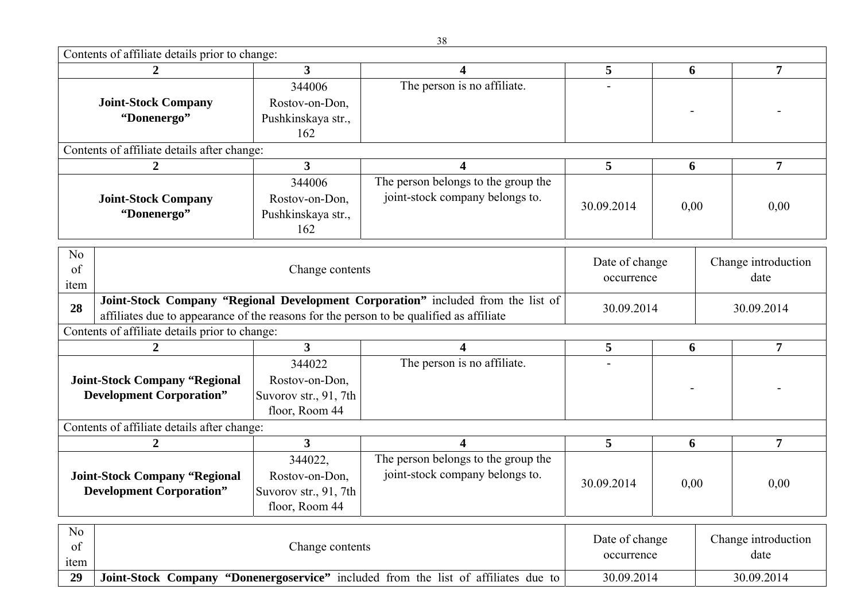$C_1$  is content of  $C_2$ 

| Contents of affiliate details prior to change:                          |                                                                                           |                                                                                                                                                                                           |                                                                                                                                                                                                                               |                 |                                   |                     |  |
|-------------------------------------------------------------------------|-------------------------------------------------------------------------------------------|-------------------------------------------------------------------------------------------------------------------------------------------------------------------------------------------|-------------------------------------------------------------------------------------------------------------------------------------------------------------------------------------------------------------------------------|-----------------|-----------------------------------|---------------------|--|
|                                                                         |                                                                                           | 4                                                                                                                                                                                         |                                                                                                                                                                                                                               |                 |                                   | $\overline{7}$      |  |
|                                                                         | 344006                                                                                    |                                                                                                                                                                                           |                                                                                                                                                                                                                               |                 |                                   |                     |  |
| <b>Joint-Stock Company</b>                                              | Rostov-on-Don,                                                                            |                                                                                                                                                                                           |                                                                                                                                                                                                                               |                 |                                   |                     |  |
| "Donenergo"                                                             | Pushkinskaya str.,                                                                        |                                                                                                                                                                                           |                                                                                                                                                                                                                               |                 |                                   |                     |  |
|                                                                         | 162                                                                                       |                                                                                                                                                                                           |                                                                                                                                                                                                                               |                 |                                   |                     |  |
|                                                                         |                                                                                           |                                                                                                                                                                                           |                                                                                                                                                                                                                               |                 |                                   |                     |  |
| $\overline{2}$                                                          | $\overline{\mathbf{3}}$                                                                   | 4                                                                                                                                                                                         | $5\overline{)}$                                                                                                                                                                                                               | 6               |                                   | $\overline{7}$      |  |
|                                                                         | 344006                                                                                    | The person belongs to the group the                                                                                                                                                       |                                                                                                                                                                                                                               |                 |                                   |                     |  |
| <b>Joint-Stock Company</b>                                              | Rostov-on-Don,                                                                            | joint-stock company belongs to.                                                                                                                                                           |                                                                                                                                                                                                                               |                 |                                   |                     |  |
| "Donenergo"                                                             |                                                                                           |                                                                                                                                                                                           |                                                                                                                                                                                                                               |                 |                                   | 0,00                |  |
|                                                                         | 162                                                                                       |                                                                                                                                                                                           |                                                                                                                                                                                                                               |                 |                                   |                     |  |
|                                                                         |                                                                                           |                                                                                                                                                                                           |                                                                                                                                                                                                                               |                 |                                   |                     |  |
|                                                                         |                                                                                           |                                                                                                                                                                                           | Date of change                                                                                                                                                                                                                |                 | Change introduction               |                     |  |
|                                                                         |                                                                                           |                                                                                                                                                                                           | occurrence                                                                                                                                                                                                                    |                 | date                              |                     |  |
|                                                                         |                                                                                           | 30.09.2014                                                                                                                                                                                |                                                                                                                                                                                                                               |                 |                                   |                     |  |
| 28                                                                      |                                                                                           |                                                                                                                                                                                           |                                                                                                                                                                                                                               |                 |                                   |                     |  |
|                                                                         |                                                                                           |                                                                                                                                                                                           |                                                                                                                                                                                                                               |                 |                                   |                     |  |
| 2                                                                       | 3                                                                                         | 4                                                                                                                                                                                         | 5                                                                                                                                                                                                                             | 6               |                                   | $\overline{7}$      |  |
|                                                                         | 344022                                                                                    | The person is no affiliate.                                                                                                                                                               |                                                                                                                                                                                                                               |                 |                                   |                     |  |
|                                                                         |                                                                                           |                                                                                                                                                                                           |                                                                                                                                                                                                                               |                 |                                   |                     |  |
|                                                                         |                                                                                           |                                                                                                                                                                                           |                                                                                                                                                                                                                               |                 |                                   |                     |  |
|                                                                         |                                                                                           |                                                                                                                                                                                           |                                                                                                                                                                                                                               |                 |                                   |                     |  |
|                                                                         |                                                                                           |                                                                                                                                                                                           |                                                                                                                                                                                                                               |                 |                                   |                     |  |
| Contents of affiliate details after change:                             |                                                                                           |                                                                                                                                                                                           |                                                                                                                                                                                                                               |                 |                                   |                     |  |
| 2                                                                       | $\overline{3}$                                                                            | 4                                                                                                                                                                                         | 5                                                                                                                                                                                                                             | 6               |                                   | $\overline{7}$      |  |
|                                                                         | 344022,                                                                                   | The person belongs to the group the                                                                                                                                                       |                                                                                                                                                                                                                               |                 |                                   |                     |  |
|                                                                         | Rostov-on-Don,                                                                            | joint-stock company belongs to.                                                                                                                                                           |                                                                                                                                                                                                                               |                 |                                   |                     |  |
| <b>Joint-Stock Company "Regional</b><br><b>Development Corporation"</b> | Suvorov str., 91, 7th                                                                     |                                                                                                                                                                                           | 30.09.2014                                                                                                                                                                                                                    | 0.00            |                                   | 0,00                |  |
|                                                                         | floor, Room 44                                                                            |                                                                                                                                                                                           |                                                                                                                                                                                                                               |                 |                                   |                     |  |
|                                                                         |                                                                                           |                                                                                                                                                                                           |                                                                                                                                                                                                                               |                 |                                   |                     |  |
|                                                                         | Change contents                                                                           |                                                                                                                                                                                           | Date of change                                                                                                                                                                                                                |                 |                                   | Change introduction |  |
|                                                                         | $\overline{2}$<br><b>Joint-Stock Company "Regional</b><br><b>Development Corporation"</b> | $\overline{\mathbf{3}}$<br>Contents of affiliate details after change:<br>Pushkinskaya str.,<br>Contents of affiliate details prior to change:<br>Rostov-on-Don,<br>Suvorov str., 91, 7th | The person is no affiliate.<br>Change contents<br>Joint-Stock Company "Regional Development Corporation" included from the list of<br>affiliates due to appearance of the reasons for the person to be qualified as affiliate | 5<br>30.09.2014 | 6<br>30.09.2014<br>floor, Room 44 | 0,00                |  |

**29 Joint-Stock Company "Donenergoservice"** included from the list of affiliates due to 30.09.2014 30.09.2014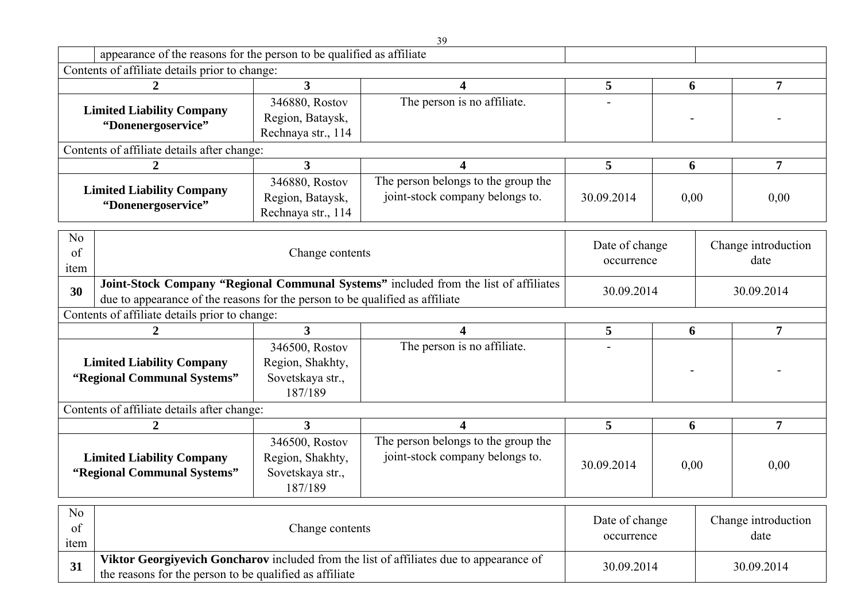|                                                                              |                                                                       |                                                                                      | 39                                                                                      |                |      |            |                     |
|------------------------------------------------------------------------------|-----------------------------------------------------------------------|--------------------------------------------------------------------------------------|-----------------------------------------------------------------------------------------|----------------|------|------------|---------------------|
|                                                                              | appearance of the reasons for the person to be qualified as affiliate |                                                                                      |                                                                                         |                |      |            |                     |
|                                                                              | Contents of affiliate details prior to change:                        |                                                                                      |                                                                                         |                |      |            |                     |
|                                                                              | $\boldsymbol{2}$                                                      | $\mathbf{3}$                                                                         | 4                                                                                       | 5              | 6    |            | 7                   |
|                                                                              |                                                                       | 346880, Rostov                                                                       | The person is no affiliate.                                                             |                |      |            |                     |
| <b>Limited Liability Company</b>                                             |                                                                       | Region, Bataysk,                                                                     |                                                                                         |                |      |            |                     |
|                                                                              | "Donenergoservice"                                                    | Rechnaya str., 114                                                                   |                                                                                         |                |      |            |                     |
|                                                                              | Contents of affiliate details after change:                           |                                                                                      |                                                                                         |                |      |            |                     |
|                                                                              | 2                                                                     | 3                                                                                    | 4                                                                                       | 5              | 6    |            | $\overline{7}$      |
|                                                                              |                                                                       | 346880, Rostov                                                                       | The person belongs to the group the                                                     |                |      |            |                     |
|                                                                              | <b>Limited Liability Company</b>                                      | Region, Bataysk,                                                                     | joint-stock company belongs to.                                                         | 30.09.2014     | 0,00 |            | 0,00                |
|                                                                              | "Donenergoservice"                                                    | Rechnaya str., 114                                                                   |                                                                                         |                |      |            |                     |
|                                                                              |                                                                       |                                                                                      |                                                                                         |                |      |            |                     |
| N <sub>o</sub>                                                               | Date of change                                                        |                                                                                      |                                                                                         |                |      |            | Change introduction |
| of                                                                           | Change contents                                                       |                                                                                      |                                                                                         | occurrence     |      |            | date                |
| item                                                                         |                                                                       |                                                                                      |                                                                                         |                |      |            |                     |
| 30                                                                           |                                                                       | Joint-Stock Company "Regional Communal Systems" included from the list of affiliates | 30.09.2014                                                                              |                |      | 30.09.2014 |                     |
| due to appearance of the reasons for the person to be qualified as affiliate |                                                                       |                                                                                      |                                                                                         |                |      |            |                     |
|                                                                              |                                                                       |                                                                                      |                                                                                         |                |      |            |                     |
|                                                                              | Contents of affiliate details prior to change:                        |                                                                                      |                                                                                         |                |      |            |                     |
|                                                                              | $\overline{2}$                                                        | $\overline{3}$                                                                       | 4                                                                                       | 5              | 6    |            | 7                   |
|                                                                              |                                                                       | 346500, Rostov                                                                       | The person is no affiliate.                                                             |                |      |            |                     |
|                                                                              | <b>Limited Liability Company</b>                                      | Region, Shakhty,                                                                     |                                                                                         |                |      |            |                     |
|                                                                              | "Regional Communal Systems"                                           | Sovetskaya str.,                                                                     |                                                                                         |                |      |            |                     |
|                                                                              |                                                                       | 187/189                                                                              |                                                                                         |                |      |            |                     |
|                                                                              | Contents of affiliate details after change:                           |                                                                                      |                                                                                         |                |      |            |                     |
|                                                                              | $\overline{2}$                                                        | $\overline{\mathbf{3}}$                                                              | 4                                                                                       | 5              | 6    |            | $\overline{7}$      |
|                                                                              |                                                                       | 346500, Rostov                                                                       | The person belongs to the group the                                                     |                |      |            |                     |
|                                                                              | <b>Limited Liability Company</b>                                      | Region, Shakhty,                                                                     | joint-stock company belongs to.                                                         |                |      |            |                     |
|                                                                              | "Regional Communal Systems"                                           | Sovetskaya str.,                                                                     |                                                                                         | 30.09.2014     | 0,00 |            | 0,00                |
|                                                                              |                                                                       | 187/189                                                                              |                                                                                         |                |      |            |                     |
|                                                                              |                                                                       |                                                                                      |                                                                                         |                |      |            |                     |
| N <sub>0</sub>                                                               |                                                                       |                                                                                      |                                                                                         | Date of change |      |            | Change introduction |
| of                                                                           |                                                                       | Change contents                                                                      |                                                                                         | occurrence     |      |            | date                |
| item<br>31                                                                   |                                                                       |                                                                                      | Viktor Georgiyevich Goncharov included from the list of affiliates due to appearance of | 30.09.2014     |      |            | 30.09.2014          |